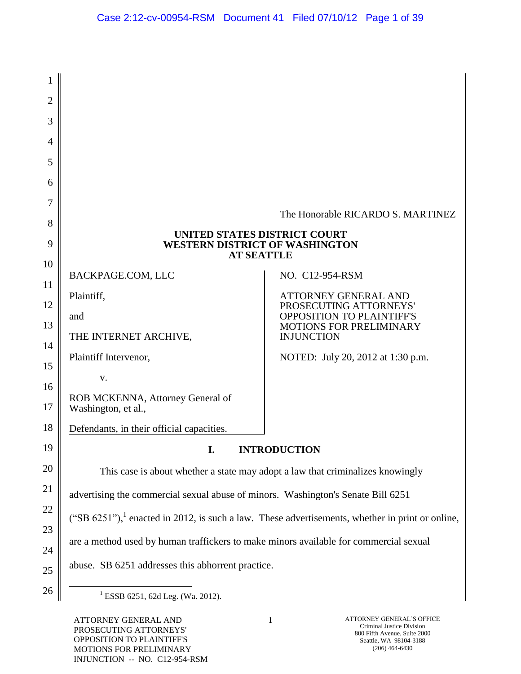| 1              |                                                                                                             |                                                     |  |
|----------------|-------------------------------------------------------------------------------------------------------------|-----------------------------------------------------|--|
| $\overline{2}$ |                                                                                                             |                                                     |  |
| 3              |                                                                                                             |                                                     |  |
| 4              |                                                                                                             |                                                     |  |
| 5              |                                                                                                             |                                                     |  |
| 6              |                                                                                                             |                                                     |  |
| 7              |                                                                                                             | The Honorable RICARDO S. MARTINEZ                   |  |
| 8              |                                                                                                             |                                                     |  |
| 9              | UNITED STATES DISTRICT COURT<br><b>WESTERN DISTRICT OF WASHINGTON</b><br><b>AT SEATTLE</b>                  |                                                     |  |
| 10             |                                                                                                             |                                                     |  |
| 11             | BACKPAGE.COM, LLC                                                                                           | NO. C12-954-RSM                                     |  |
| 12             | Plaintiff,                                                                                                  | ATTORNEY GENERAL AND<br>PROSECUTING ATTORNEYS'      |  |
| 13             | and                                                                                                         | <b>OPPOSITION TO PLAINTIFF'S</b>                    |  |
| 14             | THE INTERNET ARCHIVE,                                                                                       | <b>MOTIONS FOR PRELIMINARY</b><br><b>INJUNCTION</b> |  |
| 15             | Plaintiff Intervenor,                                                                                       | NOTED: July 20, 2012 at 1:30 p.m.                   |  |
|                | V.                                                                                                          |                                                     |  |
| 16<br>17       | ROB MCKENNA, Attorney General of<br>Washington, et al.,                                                     |                                                     |  |
| 18             | Defendants, in their official capacities.                                                                   |                                                     |  |
| 19             | I.                                                                                                          | <b>INTRODUCTION</b>                                 |  |
| 20             | This case is about whether a state may adopt a law that criminalizes knowingly                              |                                                     |  |
| 21             | advertising the commercial sexual abuse of minors. Washington's Senate Bill 6251                            |                                                     |  |
| 22             | ("SB 6251"), <sup>1</sup> enacted in 2012, is such a law. These advertisements, whether in print or online, |                                                     |  |
| 23             | are a method used by human traffickers to make minors available for commercial sexual                       |                                                     |  |
| 24             |                                                                                                             |                                                     |  |
| $25\,$         | abuse. SB 6251 addresses this abhorrent practice.                                                           |                                                     |  |
| 26             | <sup>1</sup> ESSB 6251, 62d Leg. (Wa. 2012).                                                                |                                                     |  |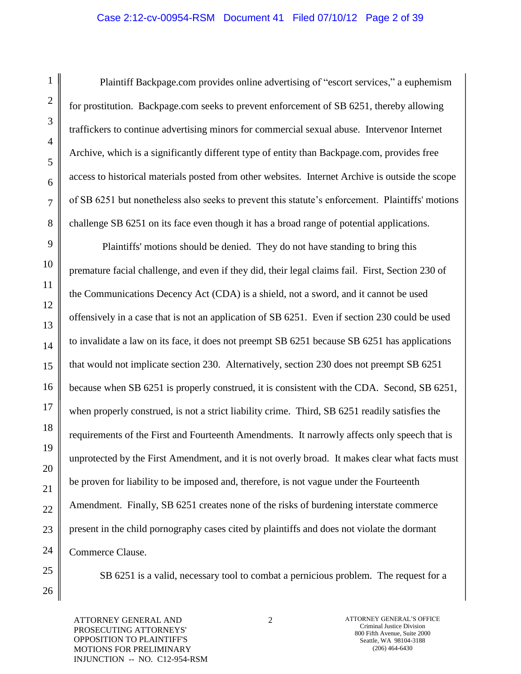# Case 2:12-cv-00954-RSM Document 41 Filed 07/10/12 Page 2 of 39

Plaintiff Backpage.com provides online advertising of "escort services," a euphemism for prostitution. Backpage.com seeks to prevent enforcement of SB 6251, thereby allowing traffickers to continue advertising minors for commercial sexual abuse. Intervenor Internet Archive, which is a significantly different type of entity than Backpage.com, provides free access to historical materials posted from other websites. Internet Archive is outside the scope of SB 6251 but nonetheless also seeks to prevent this statute"s enforcement. Plaintiffs' motions challenge SB 6251 on its face even though it has a broad range of potential applications.

Plaintiffs' motions should be denied. They do not have standing to bring this premature facial challenge, and even if they did, their legal claims fail. First, Section 230 of the Communications Decency Act (CDA) is a shield, not a sword, and it cannot be used offensively in a case that is not an application of SB 6251. Even if section 230 could be used to invalidate a law on its face, it does not preempt SB 6251 because SB 6251 has applications that would not implicate section 230. Alternatively, section 230 does not preempt SB 6251 because when SB 6251 is properly construed, it is consistent with the CDA. Second, SB 6251, when properly construed, is not a strict liability crime. Third, SB 6251 readily satisfies the requirements of the First and Fourteenth Amendments. It narrowly affects only speech that is unprotected by the First Amendment, and it is not overly broad. It makes clear what facts must be proven for liability to be imposed and, therefore, is not vague under the Fourteenth Amendment. Finally, SB 6251 creates none of the risks of burdening interstate commerce present in the child pornography cases cited by plaintiffs and does not violate the dormant Commerce Clause.

SB 6251 is a valid, necessary tool to combat a pernicious problem. The request for a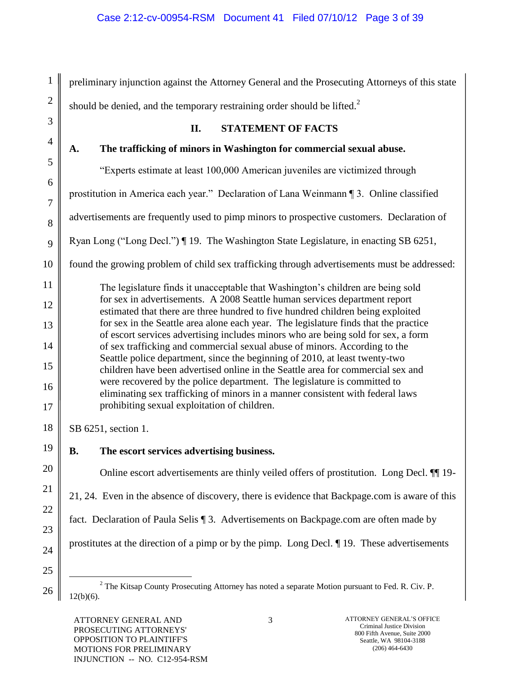preliminary injunction against the Attorney General and the Prosecuting Attorneys of this state should be denied, and the temporary restraining order should be lifted.<sup>2</sup> **II. STATEMENT OF FACTS A. The trafficking of minors in Washington for commercial sexual abuse.** "Experts estimate at least 100,000 American juveniles are victimized through prostitution in America each year." Declaration of Lana Weinmann ¶ 3. Online classified advertisements are frequently used to pimp minors to prospective customers. Declaration of Ryan Long ("Long Decl.") ¶ 19. The Washington State Legislature, in enacting SB 6251, found the growing problem of child sex trafficking through advertisements must be addressed: The legislature finds it unacceptable that Washington"s children are being sold for sex in advertisements. A 2008 Seattle human services department report estimated that there are three hundred to five hundred children being exploited for sex in the Seattle area alone each year. The legislature finds that the practice of escort services advertising includes minors who are being sold for sex, a form of sex trafficking and commercial sexual abuse of minors. According to the Seattle police department, since the beginning of 2010, at least twenty-two children have been advertised online in the Seattle area for commercial sex and were recovered by the police department. The legislature is committed to eliminating sex trafficking of minors in a manner consistent with federal laws prohibiting sexual exploitation of children. SB 6251, section 1. **B. The escort services advertising business.** Online escort advertisements are thinly veiled offers of prostitution. Long Decl. ¶¶ 19- 21, 24. Even in the absence of discovery, there is evidence that Backpage.com is aware of this fact. Declaration of Paula Selis ¶ 3. Advertisements on Backpage.com are often made by prostitutes at the direction of a pimp or by the pimp. Long Decl. ¶ 19. These advertisements  $\overline{a}$ 

<sup>&</sup>lt;sup>2</sup> The Kitsap County Prosecuting Attorney has noted a separate Motion pursuant to Fed. R. Civ. P.  $12(b)(6)$ .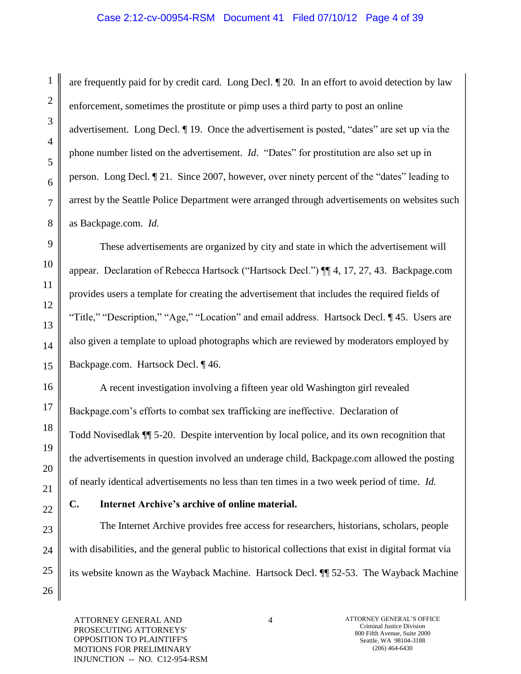### Case 2:12-cv-00954-RSM Document 41 Filed 07/10/12 Page 4 of 39

are frequently paid for by credit card. Long Decl. ¶ 20. In an effort to avoid detection by law enforcement, sometimes the prostitute or pimp uses a third party to post an online advertisement. Long Decl. ¶ 19. Once the advertisement is posted, "dates" are set up via the phone number listed on the advertisement. *Id*. "Dates" for prostitution are also set up in person. Long Decl. ¶ 21. Since 2007, however, over ninety percent of the "dates" leading to arrest by the Seattle Police Department were arranged through advertisements on websites such as Backpage.com. *Id.*

These advertisements are organized by city and state in which the advertisement will appear. Declaration of Rebecca Hartsock ("Hartsock Decl.") ¶¶ 4, 17, 27, 43. Backpage.com provides users a template for creating the advertisement that includes the required fields of "Title," "Description," "Age," "Location" and email address. Hartsock Decl. ¶ 45. Users are also given a template to upload photographs which are reviewed by moderators employed by Backpage.com. Hartsock Decl. ¶ 46.

A recent investigation involving a fifteen year old Washington girl revealed Backpage.com"s efforts to combat sex trafficking are ineffective. Declaration of Todd Novisedlak ¶¶ 5-20. Despite intervention by local police, and its own recognition that the advertisements in question involved an underage child, Backpage.com allowed the posting of nearly identical advertisements no less than ten times in a two week period of time. *Id.*

### **C. Internet Archive's archive of online material.**

The Internet Archive provides free access for researchers, historians, scholars, people with disabilities, and the general public to historical collections that exist in digital format via its website known as the Wayback Machine. Hartsock Decl. ¶¶ 52-53. The Wayback Machine

ATTORNEY GENERAL AND PROSECUTING ATTORNEYS' OPPOSITION TO PLAINTIFF'S MOTIONS FOR PRELIMINARY INJUNCTION -- NO. C12-954-RSM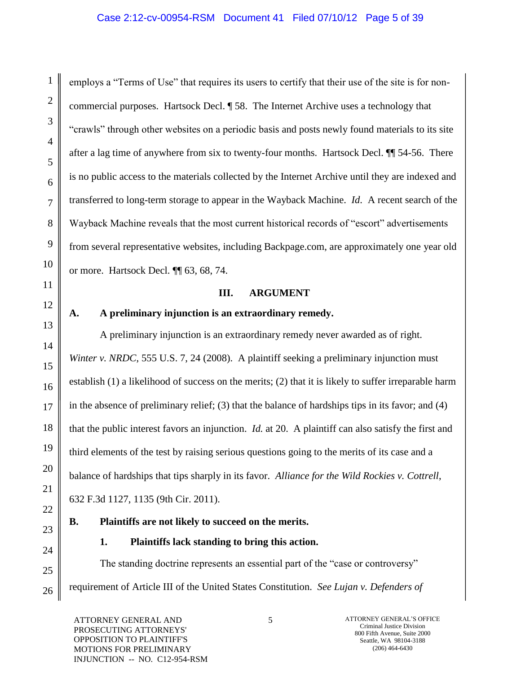# Case 2:12-cv-00954-RSM Document 41 Filed 07/10/12 Page 5 of 39

employs a "Terms of Use" that requires its users to certify that their use of the site is for noncommercial purposes. Hartsock Decl. ¶ 58. The Internet Archive uses a technology that "crawls" through other websites on a periodic basis and posts newly found materials to its site after a lag time of anywhere from six to twenty-four months. Hartsock Decl. ¶¶ 54-56. There is no public access to the materials collected by the Internet Archive until they are indexed and transferred to long-term storage to appear in the Wayback Machine. *Id*. A recent search of the Wayback Machine reveals that the most current historical records of "escort" advertisements from several representative websites, including Backpage.com, are approximately one year old or more. Hartsock Decl. ¶¶ 63, 68, 74.

### **III. ARGUMENT**

# **A. A preliminary injunction is an extraordinary remedy.**

A preliminary injunction is an extraordinary remedy never awarded as of right. *Winter v. NRDC*, 555 U.S. 7, 24 (2008). A plaintiff seeking a preliminary injunction must establish (1) a likelihood of success on the merits; (2) that it is likely to suffer irreparable harm in the absence of preliminary relief; (3) that the balance of hardships tips in its favor; and (4) that the public interest favors an injunction. *Id.* at 20. A plaintiff can also satisfy the first and third elements of the test by raising serious questions going to the merits of its case and a balance of hardships that tips sharply in its favor. *Alliance for the Wild Rockies v. Cottrell*, 632 F.3d 1127, 1135 (9th Cir. 2011).

# **B. Plaintiffs are not likely to succeed on the merits.**

**1. Plaintiffs lack standing to bring this action.**

The standing doctrine represents an essential part of the "case or controversy" requirement of Article III of the United States Constitution. *See Lujan v. Defenders of* 

ATTORNEY GENERAL AND PROSECUTING ATTORNEYS' OPPOSITION TO PLAINTIFF'S MOTIONS FOR PRELIMINARY INJUNCTION -- NO. C12-954-RSM

1

2

3

4

5

6

7

8

9

10

11

12

13

14

15

16

17

18

19

20

21

22

23

24

25

26

5 ATTORNEY GENERAL'S OFFICE Criminal Justice Division 800 Fifth Avenue, Suite 2000 Seattle, WA 98104-3188 (206) 464-6430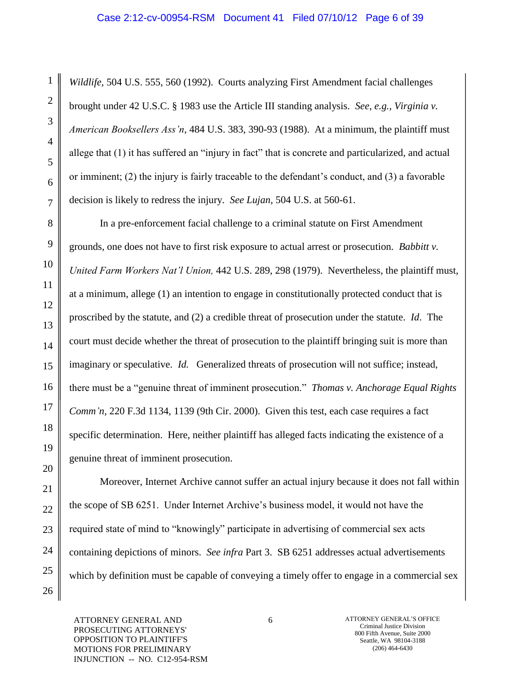1

*Wildlife,* 504 U.S. 555, 560 (1992). Courts analyzing First Amendment facial challenges brought under 42 U.S.C. § 1983 use the Article III standing analysis. *See, e.g., Virginia v. American Booksellers Ass'n*, 484 U.S. 383, 390-93 (1988). At a minimum, the plaintiff must allege that (1) it has suffered an "injury in fact" that is concrete and particularized, and actual or imminent;  $(2)$  the injury is fairly traceable to the defendant's conduct, and  $(3)$  a favorable decision is likely to redress the injury. *See Lujan*, 504 U.S. at 560-61.

In a pre-enforcement facial challenge to a criminal statute on First Amendment grounds, one does not have to first risk exposure to actual arrest or prosecution. *Babbitt v. United Farm Workers Nat'l Union,* 442 U.S. 289, 298 (1979). Nevertheless, the plaintiff must, at a minimum, allege (1) an intention to engage in constitutionally protected conduct that is proscribed by the statute, and (2) a credible threat of prosecution under the statute. *Id*. The court must decide whether the threat of prosecution to the plaintiff bringing suit is more than imaginary or speculative. *Id.* Generalized threats of prosecution will not suffice; instead, there must be a "genuine threat of imminent prosecution." *Thomas v. Anchorage Equal Rights Comm'n,* 220 F.3d 1134, 1139 (9th Cir. 2000). Given this test, each case requires a fact specific determination. Here, neither plaintiff has alleged facts indicating the existence of a genuine threat of imminent prosecution.

Moreover, Internet Archive cannot suffer an actual injury because it does not fall within the scope of SB 6251. Under Internet Archive"s business model, it would not have the required state of mind to "knowingly" participate in advertising of commercial sex acts containing depictions of minors. *See infra* Part 3. SB 6251 addresses actual advertisements which by definition must be capable of conveying a timely offer to engage in a commercial sex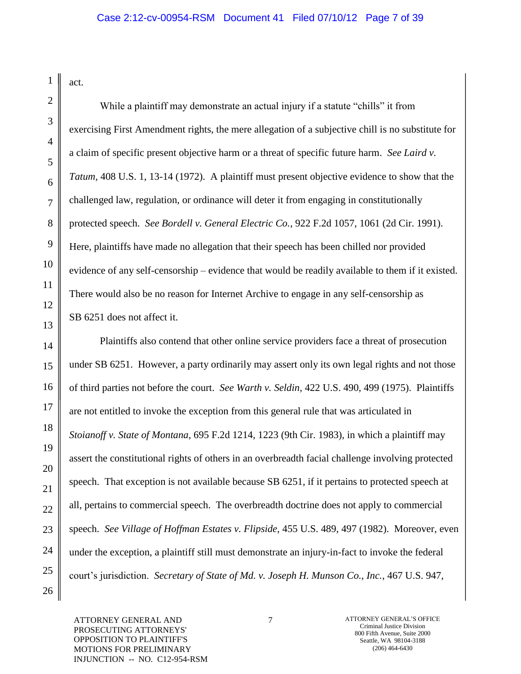act.

1

2

3

4

5

6

7

8

9

10

11

12

13

14

15

16

17

18

19

20

21

22

23

24

25

26

While a plaintiff may demonstrate an actual injury if a statute "chills" it from exercising First Amendment rights, the mere allegation of a subjective chill is no substitute for a claim of specific present objective harm or a threat of specific future harm. *See Laird v. Tatum,* 408 U.S. 1, 13-14 (1972). A plaintiff must present objective evidence to show that the challenged law, regulation, or ordinance will deter it from engaging in constitutionally protected speech. *See Bordell v. General Electric Co.*, 922 F.2d 1057, 1061 (2d Cir. 1991). Here, plaintiffs have made no allegation that their speech has been chilled nor provided evidence of any self-censorship – evidence that would be readily available to them if it existed. There would also be no reason for Internet Archive to engage in any self-censorship as SB 6251 does not affect it.

Plaintiffs also contend that other online service providers face a threat of prosecution under SB 6251. However, a party ordinarily may assert only its own legal rights and not those of third parties not before the court. *See Warth v. Seldin*, 422 U.S. 490, 499 (1975). Plaintiffs are not entitled to invoke the exception from this general rule that was articulated in *Stoianoff v. State of Montana*, 695 F.2d 1214, 1223 (9th Cir. 1983), in which a plaintiff may assert the constitutional rights of others in an overbreadth facial challenge involving protected speech. That exception is not available because SB 6251, if it pertains to protected speech at all, pertains to commercial speech. The overbreadth doctrine does not apply to commercial speech. *See Village of Hoffman Estates v. Flipside,* 455 U.S. 489, 497 (1982). Moreover, even under the exception, a plaintiff still must demonstrate an injury-in-fact to invoke the federal court"s jurisdiction. *Secretary of State of Md. v. Joseph H. Munson Co., Inc.*, 467 U.S. 947,

ATTORNEY GENERAL AND PROSECUTING ATTORNEYS' OPPOSITION TO PLAINTIFF'S MOTIONS FOR PRELIMINARY INJUNCTION -- NO. C12-954-RSM 7 ATTORNEY GENERAL"S OFFICE Criminal Justice Division 800 Fifth Avenue, Suite 2000 Seattle, WA 98104-3188 (206) 464-6430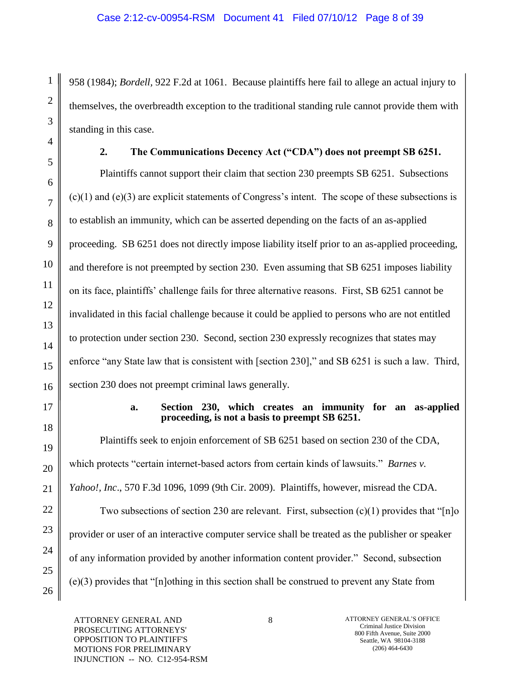958 (1984); *Bordell,* 922 F.2d at 1061. Because plaintiffs here fail to allege an actual injury to themselves, the overbreadth exception to the traditional standing rule cannot provide them with standing in this case.

**2. The Communications Decency Act ("CDA") does not preempt SB 6251.**

Plaintiffs cannot support their claim that section 230 preempts SB 6251. Subsections  $(c)(1)$  and  $(e)(3)$  are explicit statements of Congress's intent. The scope of these subsections is to establish an immunity, which can be asserted depending on the facts of an as-applied proceeding. SB 6251 does not directly impose liability itself prior to an as-applied proceeding, and therefore is not preempted by section 230. Even assuming that SB 6251 imposes liability on its face, plaintiffs" challenge fails for three alternative reasons. First, SB 6251 cannot be invalidated in this facial challenge because it could be applied to persons who are not entitled to protection under section 230. Second, section 230 expressly recognizes that states may enforce "any State law that is consistent with [section 230]," and SB 6251 is such a law. Third, section 230 does not preempt criminal laws generally.

### **a. Section 230, which creates an immunity for an as-applied proceeding, is not a basis to preempt SB 6251.**

Plaintiffs seek to enjoin enforcement of SB 6251 based on section 230 of the CDA, which protects "certain internet-based actors from certain kinds of lawsuits." *Barnes v. Yahoo!, Inc*., 570 F.3d 1096, 1099 (9th Cir. 2009). Plaintiffs, however, misread the CDA. Two subsections of section 230 are relevant. First, subsection  $(c)(1)$  provides that "[n]o] provider or user of an interactive computer service shall be treated as the publisher or speaker of any information provided by another information content provider." Second, subsection (e)(3) provides that "[n]othing in this section shall be construed to prevent any State from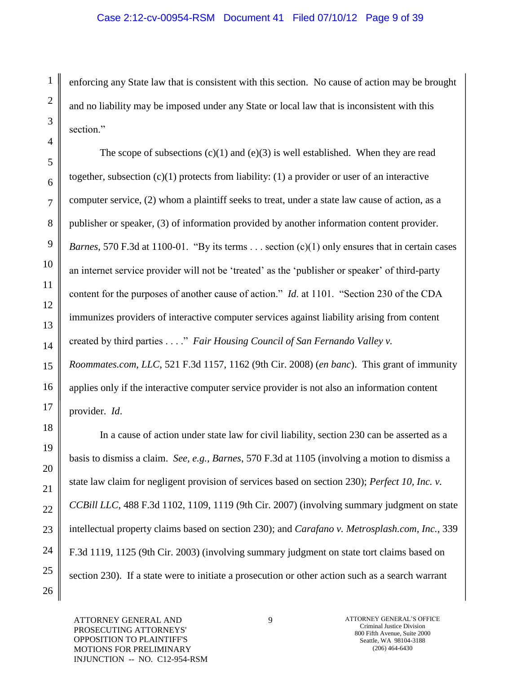### Case 2:12-cv-00954-RSM Document 41 Filed 07/10/12 Page 9 of 39

enforcing any State law that is consistent with this section. No cause of action may be brought and no liability may be imposed under any State or local law that is inconsistent with this section."

The scope of subsections  $(c)(1)$  and  $(e)(3)$  is well established. When they are read together, subsection  $(c)(1)$  protects from liability: (1) a provider or user of an interactive computer service, (2) whom a plaintiff seeks to treat, under a state law cause of action, as a publisher or speaker, (3) of information provided by another information content provider. *Barnes*, 570 F.3d at 1100-01. "By its terms . . . section (c)(1) only ensures that in certain cases an internet service provider will not be "treated" as the "publisher or speaker" of third-party content for the purposes of another cause of action." *Id*. at 1101. "Section 230 of the CDA immunizes providers of interactive computer services against liability arising from content created by third parties . . . ." *Fair Housing Council of San Fernando Valley v. Roommates.com, LLC*, 521 F.3d 1157, 1162 (9th Cir. 2008) (*en banc*). This grant of immunity applies only if the interactive computer service provider is not also an information content provider. *Id*.

In a cause of action under state law for civil liability, section 230 can be asserted as a basis to dismiss a claim. *See, e.g., Barnes*, 570 F.3d at 1105 (involving a motion to dismiss a state law claim for negligent provision of services based on section 230); *Perfect 10, Inc. v. CCBill LLC*, 488 F.3d 1102, 1109, 1119 (9th Cir. 2007) (involving summary judgment on state intellectual property claims based on section 230); and *Carafano v. Metrosplash.com, Inc.*, 339 F.3d 1119, 1125 (9th Cir. 2003) (involving summary judgment on state tort claims based on section 230). If a state were to initiate a prosecution or other action such as a search warrant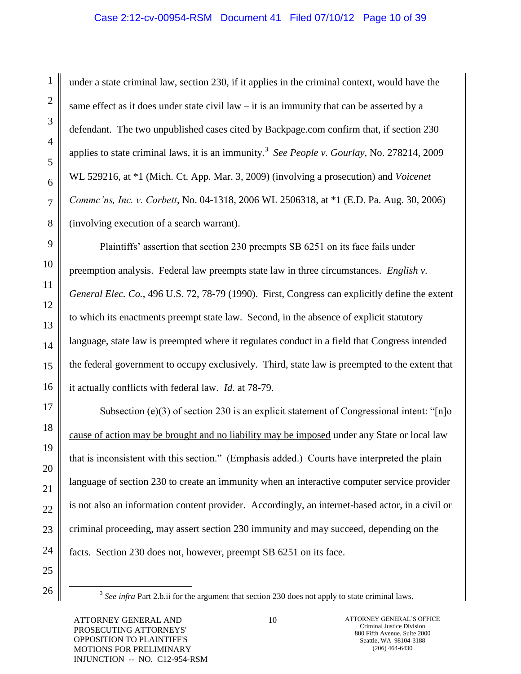## Case 2:12-cv-00954-RSM Document 41 Filed 07/10/12 Page 10 of 39

under a state criminal law, section 230, if it applies in the criminal context, would have the same effect as it does under state civil law  $-$  it is an immunity that can be asserted by a defendant. The two unpublished cases cited by Backpage.com confirm that, if section 230 applies to state criminal laws, it is an immunity.<sup>3</sup> See People v. Gourlay, No. 278214, 2009 WL 529216, at \*1 (Mich. Ct. App. Mar. 3, 2009) (involving a prosecution) and *Voicenet Commc'ns, Inc. v. Corbett*, No. 04-1318, 2006 WL 2506318, at \*1 (E.D. Pa. Aug. 30, 2006) (involving execution of a search warrant).

Plaintiffs' assertion that section 230 preempts SB 6251 on its face fails under preemption analysis. Federal law preempts state law in three circumstances. *English v. General Elec. Co.*, 496 U.S. 72, 78-79 (1990). First, Congress can explicitly define the extent to which its enactments preempt state law. Second, in the absence of explicit statutory language, state law is preempted where it regulates conduct in a field that Congress intended the federal government to occupy exclusively. Third, state law is preempted to the extent that it actually conflicts with federal law. *Id*. at 78-79.

Subsection (e)(3) of section 230 is an explicit statement of Congressional intent: "[n]o cause of action may be brought and no liability may be imposed under any State or local law that is inconsistent with this section." (Emphasis added.) Courts have interpreted the plain language of section 230 to create an immunity when an interactive computer service provider is not also an information content provider. Accordingly, an internet-based actor, in a civil or criminal proceeding, may assert section 230 immunity and may succeed, depending on the facts. Section 230 does not, however, preempt SB 6251 on its face.

 $\overline{a}$ 

1

2

3

4

5

6

7

8

9

10

11

12

13

14

15

16

17

18

19

20

21

<sup>23</sup> 24 25 26

<sup>&</sup>lt;sup>3</sup> See infra Part 2.b.ii for the argument that section 230 does not apply to state criminal laws.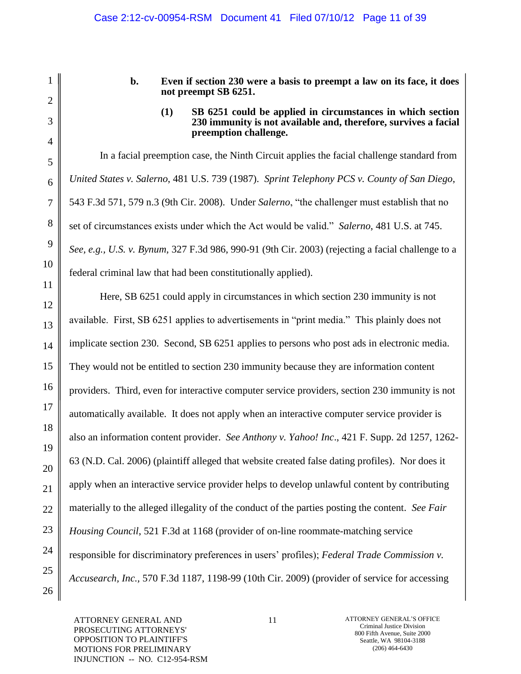**b. Even if section 230 were a basis to preempt a law on its face, it does not preempt SB 6251.** 

#### **(1) SB 6251 could be applied in circumstances in which section 230 immunity is not available and, therefore, survives a facial preemption challenge.**

In a facial preemption case, the Ninth Circuit applies the facial challenge standard from *United States v. Salerno*, 481 U.S. 739 (1987). *Sprint Telephony PCS v. County of San Diego*, 543 F.3d 571, 579 n.3 (9th Cir. 2008). Under *Salerno*, "the challenger must establish that no set of circumstances exists under which the Act would be valid." *Salerno*, 481 U.S. at 745. *See, e.g., U.S. v. Bynum*, 327 F.3d 986, 990-91 (9th Cir. 2003) (rejecting a facial challenge to a federal criminal law that had been constitutionally applied).

Here, SB 6251 could apply in circumstances in which section 230 immunity is not available. First, SB 6251 applies to advertisements in "print media." This plainly does not implicate section 230. Second, SB 6251 applies to persons who post ads in electronic media. They would not be entitled to section 230 immunity because they are information content providers. Third, even for interactive computer service providers, section 230 immunity is not automatically available. It does not apply when an interactive computer service provider is also an information content provider. *See Anthony v. Yahoo! Inc*., 421 F. Supp. 2d 1257, 1262- 63 (N.D. Cal. 2006) (plaintiff alleged that website created false dating profiles). Nor does it apply when an interactive service provider helps to develop unlawful content by contributing materially to the alleged illegality of the conduct of the parties posting the content. *See Fair Housing Council*, 521 F.3d at 1168 (provider of on-line roommate-matching service responsible for discriminatory preferences in users" profiles); *Federal Trade Commission v. Accusearch, Inc.,* 570 F.3d 1187, 1198-99 (10th Cir. 2009) (provider of service for accessing

ATTORNEY GENERAL AND PROSECUTING ATTORNEYS' OPPOSITION TO PLAINTIFF'S MOTIONS FOR PRELIMINARY INJUNCTION -- NO. C12-954-RSM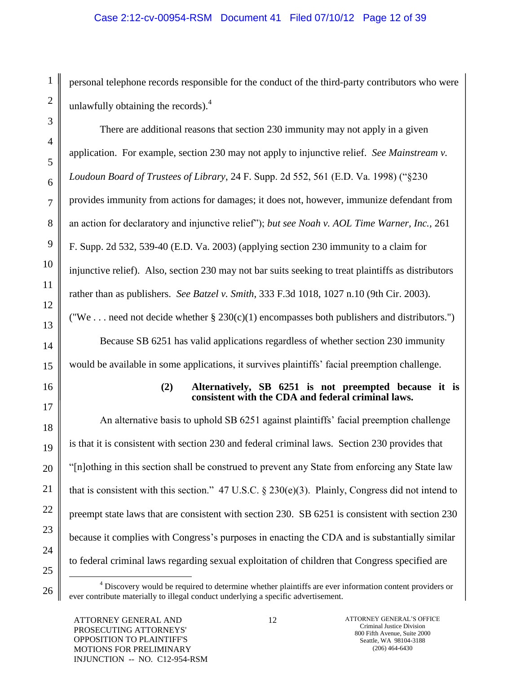# Case 2:12-cv-00954-RSM Document 41 Filed 07/10/12 Page 12 of 39

personal telephone records responsible for the conduct of the third-party contributors who were unlawfully obtaining the records). $4$ 

There are additional reasons that section 230 immunity may not apply in a given application. For example, section 230 may not apply to injunctive relief. *See Mainstream v. Loudoun Board of Trustees of Library*, 24 F. Supp. 2d 552, 561 (E.D. Va. 1998) ("§230 provides immunity from actions for damages; it does not, however, immunize defendant from an action for declaratory and injunctive relief"); *but see Noah v. AOL Time Warner, Inc.,* 261 F. Supp. 2d 532, 539-40 (E.D. Va. 2003) (applying section 230 immunity to a claim for injunctive relief). Also, section 230 may not bar suits seeking to treat plaintiffs as distributors rather than as publishers. *See Batzel v. Smith*[, 333 F.3d 1018, 1027 n.10](http://www.lexis.com/research/buttonTFLink?_m=c66d61793ebb60917f02b472f738ae8e&_xfercite=%3ccite%20cc%3d%22USA%22%3e%3c%21%5bCDATA%5b570%20F.3d%201096%5d%5d%3e%3c%2fcite%3e&_butType=3&_butStat=2&_butNum=169&_butInline=1&_butinfo=%3ccite%20cc%3d%22USA%22%3e%3c%21%5bCDATA%5b333%20F.3d%201018%2c%201027%5d%5d%3e%3c%2fcite%3e&_fmtstr=FULL&docnum=1&_startdoc=1&wchp=dGLbVzB-zSkAb&_md5=926cff1f804d20f6f72e95f00c4c1ad9) (9th Cir. 2003). ("We ... need not decide whether  $\S 230(c)(1)$  encompasses both publishers and distributors.")

Because SB 6251 has valid applications regardless of whether section 230 immunity would be available in some applications, it survives plaintiffs' facial preemption challenge.

### **(2) Alternatively, SB 6251 is not preempted because it is consistent with the CDA and federal criminal laws.**

An alternative basis to uphold SB 6251 against plaintiffs" facial preemption challenge is that it is consistent with section 230 and federal criminal laws. Section 230 provides that "[n]othing in this section shall be construed to prevent any State from enforcing any State law that is consistent with this section." 47 U.S.C. § 230(e)(3). Plainly, Congress did not intend to preempt state laws that are consistent with section 230. SB 6251 is consistent with section 230 because it complies with Congress"s purposes in enacting the CDA and is substantially similar to federal criminal laws regarding sexual exploitation of children that Congress specified are  $\overline{a}$ 

<sup>4</sup> Discovery would be required to determine whether plaintiffs are ever information content providers or ever contribute materially to illegal conduct underlying a specific advertisement.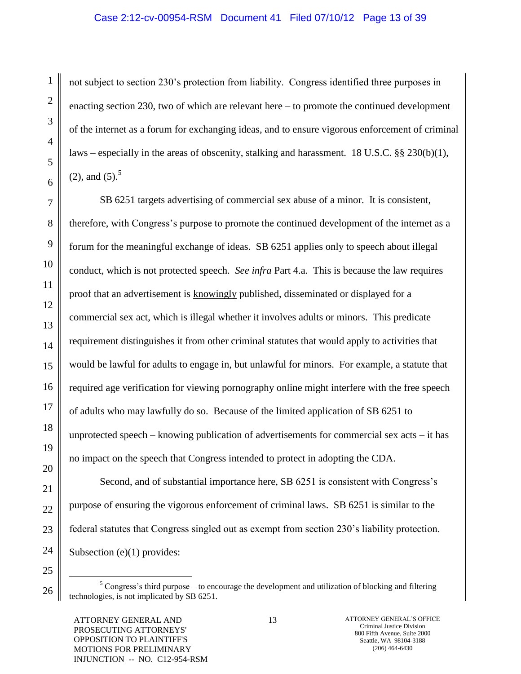### Case 2:12-cv-00954-RSM Document 41 Filed 07/10/12 Page 13 of 39

not subject to section 230"s protection from liability. Congress identified three purposes in enacting section 230, two of which are relevant here – to promote the continued development of the internet as a forum for exchanging ideas, and to ensure vigorous enforcement of criminal laws – especially in the areas of obscenity, stalking and harassment. 18 U.S.C.  $\S$ § 230(b)(1),  $(2)$ , and  $(5)$ .<sup>5</sup>

SB 6251 targets advertising of commercial sex abuse of a minor. It is consistent, therefore, with Congress"s purpose to promote the continued development of the internet as a forum for the meaningful exchange of ideas. SB 6251 applies only to speech about illegal conduct, which is not protected speech. *See infra* Part 4.a. This is because the law requires proof that an advertisement is knowingly published, disseminated or displayed for a commercial sex act, which is illegal whether it involves adults or minors. This predicate requirement distinguishes it from other criminal statutes that would apply to activities that would be lawful for adults to engage in, but unlawful for minors. For example, a statute that required age verification for viewing pornography online might interfere with the free speech of adults who may lawfully do so. Because of the limited application of SB 6251 to unprotected speech – knowing publication of advertisements for commercial sex acts – it has no impact on the speech that Congress intended to protect in adopting the CDA.

Second, and of substantial importance here, SB 6251 is consistent with Congress's purpose of ensuring the vigorous enforcement of criminal laws. SB 6251 is similar to the federal statutes that Congress singled out as exempt from section 230"s liability protection. Subsection (e)(1) provides:

 $5$  Congress's third purpose – to encourage the development and utilization of blocking and filtering technologies, is not implicated by SB 6251.

 $\overline{a}$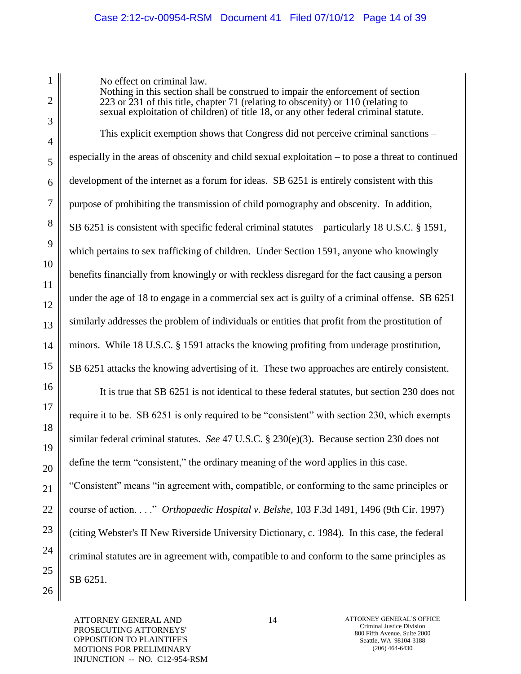# Case 2:12-cv-00954-RSM Document 41 Filed 07/10/12 Page 14 of 39

No effect on criminal law.

Nothing in this section shall be construed to impair the enforcement of section 223 or 231 of this title, chapter 71 (relating to obscenity) or 110 (relating to sexual exploitation of children) of title 18, or any other federal criminal statute.

This explicit exemption shows that Congress did not perceive criminal sanctions – especially in the areas of obscenity and child sexual exploitation – to pose a threat to continued development of the internet as a forum for ideas. SB 6251 is entirely consistent with this purpose of prohibiting the transmission of child pornography and obscenity. In addition, SB 6251 is consistent with specific federal criminal statutes – particularly 18 U.S.C. § 1591, which pertains to sex trafficking of children. Under Section 1591, anyone who knowingly benefits financially from knowingly or with reckless disregard for the fact causing a person under the age of 18 to engage in a commercial sex act is guilty of a criminal offense. SB 6251 similarly addresses the problem of individuals or entities that profit from the prostitution of minors. While 18 U.S.C. § 1591 attacks the knowing profiting from underage prostitution, SB 6251 attacks the knowing advertising of it. These two approaches are entirely consistent.

It is true that SB 6251 is not identical to these federal statutes, but section 230 does not require it to be. SB 6251 is only required to be "consistent" with section 230, which exempts similar federal criminal statutes. *See* 47 U.S.C. § 230(e)(3). Because section 230 does not define the term "consistent," the ordinary meaning of the word applies in this case. "Consistent" means "in agreement with, compatible, or conforming to the same principles or course of action. . . ." *Orthopaedic Hospital v. Belshe*, 103 F.3d 1491, 1496 (9th Cir. 1997) (citing Webster's II New Riverside University Dictionary, c. 1984). In this case, the federal criminal statutes are in agreement with, compatible to and conform to the same principles as SB 6251.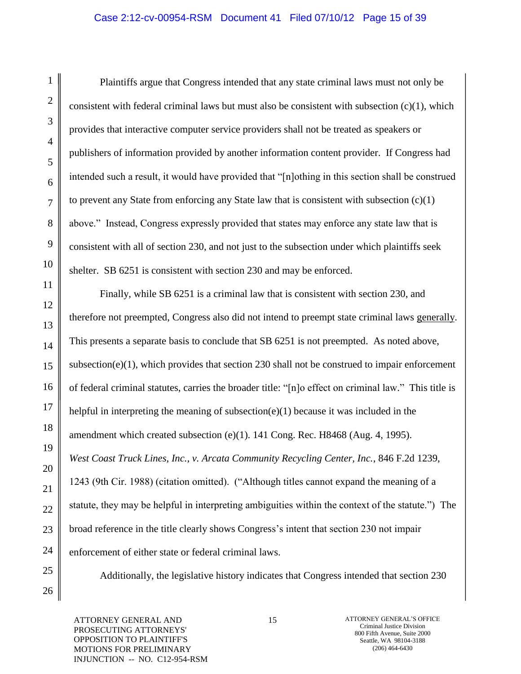# Case 2:12-cv-00954-RSM Document 41 Filed 07/10/12 Page 15 of 39

Plaintiffs argue that Congress intended that any state criminal laws must not only be consistent with federal criminal laws but must also be consistent with subsection  $(c)(1)$ , which provides that interactive computer service providers shall not be treated as speakers or publishers of information provided by another information content provider. If Congress had intended such a result, it would have provided that "[n]othing in this section shall be construed to prevent any State from enforcing any State law that is consistent with subsection (c)(1) above." Instead, Congress expressly provided that states may enforce any state law that is consistent with all of section 230, and not just to the subsection under which plaintiffs seek shelter. SB 6251 is consistent with section 230 and may be enforced.

Finally, while SB 6251 is a criminal law that is consistent with section 230, and therefore not preempted, Congress also did not intend to preempt state criminal laws generally. This presents a separate basis to conclude that SB 6251 is not preempted. As noted above, subsection(e) $(1)$ , which provides that section 230 shall not be construed to impair enforcement of federal criminal statutes, carries the broader title: "[n]o effect on criminal law." This title is helpful in interpreting the meaning of subsection( $e$ )(1) because it was included in the amendment which created subsection (e)(1). 141 Cong. Rec. H8468 (Aug. 4, 1995). *West Coast Truck Lines, Inc., v. Arcata Community Recycling Center, Inc.*, 846 F.2d 1239, 1243 (9th Cir. 1988) (citation omitted). ("Although titles cannot expand the meaning of a statute, they may be helpful in interpreting ambiguities within the context of the statute.") The broad reference in the title clearly shows Congress's intent that section 230 not impair enforcement of either state or federal criminal laws.

Additionally, the legislative history indicates that Congress intended that section 230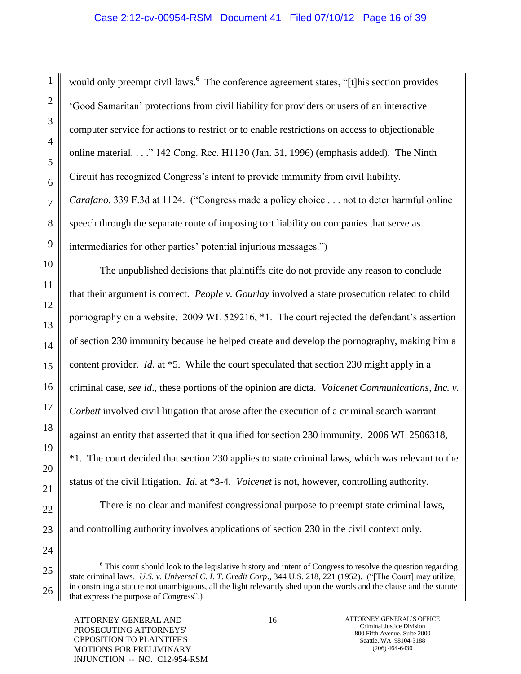# Case 2:12-cv-00954-RSM Document 41 Filed 07/10/12 Page 16 of 39

 $\overline{a}$ 

would only preempt civil laws.<sup>6</sup> The conference agreement states, "[t]his section provides "Good Samaritan" protections from civil liability for providers or users of an interactive computer service for actions to restrict or to enable restrictions on access to objectionable online material. . . ." 142 Cong. Rec. H1130 (Jan. 31, 1996) (emphasis added). The Ninth Circuit has recognized Congress"s intent to provide immunity from civil liability. *Carafano*, 339 F.3d at 1124. ("Congress made a policy choice . . . not to deter harmful online speech through the separate route of imposing tort liability on companies that serve as intermediaries for other parties' potential injurious messages.")

The unpublished decisions that plaintiffs cite do not provide any reason to conclude that their argument is correct. *People v. Gourlay* involved a state prosecution related to child pornography on a website. 2009 WL 529216, \*1. The court rejected the defendant"s assertion of section 230 immunity because he helped create and develop the pornography, making him a content provider. *Id.* at \*5. While the court speculated that section 230 might apply in a criminal case, *see id*., these portions of the opinion are dicta. *Voicenet Communications, Inc. v. Corbett* involved civil litigation that arose after the execution of a criminal search warrant against an entity that asserted that it qualified for section 230 immunity. 2006 WL 2506318, \*1. The court decided that section 230 applies to state criminal laws, which was relevant to the status of the civil litigation. *Id*. at \*3-4. *Voicenet* is not, however, controlling authority.

There is no clear and manifest congressional purpose to preempt state criminal laws, and controlling authority involves applications of section 230 in the civil context only.

<sup>&</sup>lt;sup>6</sup> This court should look to the legislative history and intent of Congress to resolve the question regarding state criminal laws. *U.S. v. Universal C. I. T. Credit Corp*., 344 U.S. 218, 221 (1952). ("[The Court] may utilize, in construing a statute not unambiguous, all the light relevantly shed upon the words and the clause and the statute that express the purpose of Congress".)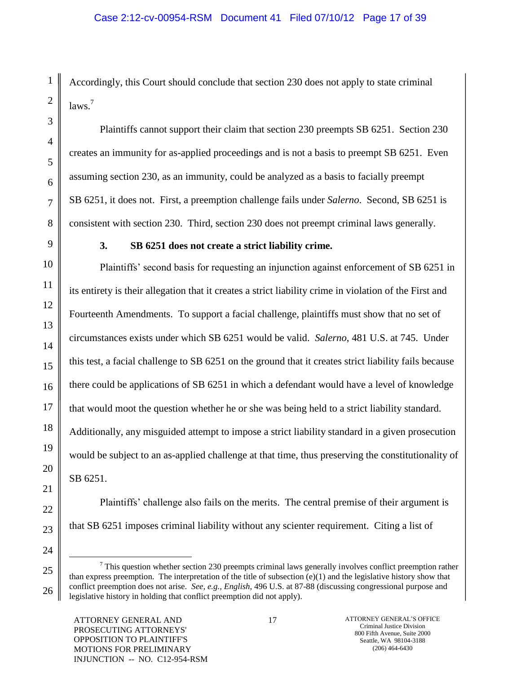Accordingly, this Court should conclude that section 230 does not apply to state criminal laws<sup>7</sup>

Plaintiffs cannot support their claim that section 230 preempts SB 6251. Section 230 creates an immunity for as-applied proceedings and is not a basis to preempt SB 6251. Even assuming section 230, as an immunity, could be analyzed as a basis to facially preempt SB 6251, it does not. First, a preemption challenge fails under *Salerno*. Second, SB 6251 is consistent with section 230. Third, section 230 does not preempt criminal laws generally.

# **3. SB 6251 does not create a strict liability crime.**

Plaintiffs" second basis for requesting an injunction against enforcement of SB 6251 in its entirety is their allegation that it creates a strict liability crime in violation of the First and Fourteenth Amendments. To support a facial challenge, plaintiffs must show that no set of circumstances exists under which SB 6251 would be valid. *Salerno*, 481 U.S. at 745. Under this test, a facial challenge to SB 6251 on the ground that it creates strict liability fails because there could be applications of SB 6251 in which a defendant would have a level of knowledge that would moot the question whether he or she was being held to a strict liability standard. Additionally, any misguided attempt to impose a strict liability standard in a given prosecution would be subject to an as-applied challenge at that time, thus preserving the constitutionality of SB 6251.

Plaintiffs" challenge also fails on the merits. The central premise of their argument is that SB 6251 imposes criminal liability without any scienter requirement. Citing a list of

 $\overline{a}$ 

 $<sup>7</sup>$  This question whether section 230 preempts criminal laws generally involves conflict preemption rather</sup> than express preemption. The interpretation of the title of subsection  $(e)(1)$  and the legislative history show that conflict preemption does not arise. *See, e.g., English*, 496 U.S. at 87-88 (discussing congressional purpose and legislative history in holding that conflict preemption did not apply).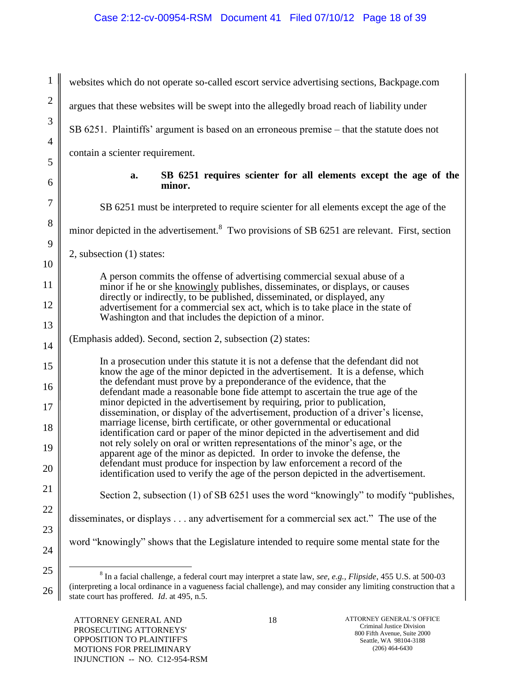1 2 3 4 5 6 7 8  $\overline{Q}$ 10 11 12 13 14 15 16 17 18 19 20 21 22 23 24 25 websites which do not operate so-called escort service advertising sections, Backpage.com argues that these websites will be swept into the allegedly broad reach of liability under SB 6251. Plaintiffs" argument is based on an erroneous premise – that the statute does not contain a scienter requirement. **a. SB 6251 requires scienter for all elements except the age of the minor.** SB 6251 must be interpreted to require scienter for all elements except the age of the minor depicted in the advertisement.<sup>8</sup> Two provisions of SB 6251 are relevant. First, section 2, subsection (1) states: A person commits the offense of advertising commercial sexual abuse of a minor if he or she knowingly publishes, disseminates, or displays, or causes directly or indirectly, to be published, disseminated, or displayed, any advertisement for a commercial sex act, which is to take place in the state of Washington and that includes the depiction of a minor. (Emphasis added). Second, section 2, subsection (2) states: In a prosecution under this statute it is not a defense that the defendant did not know the age of the minor depicted in the advertisement. It is a defense, which the defendant must prove by a preponderance of the evidence, that the defendant made a reasonable bone fide attempt to ascertain the true age of the minor depicted in the advertisement by requiring, prior to publication, dissemination, or display of the advertisement, production of a driver's license, marriage license, birth certificate, or other governmental or educational identification card or paper of the minor depicted in the advertisement and did not rely solely on oral or written representations of the minor"s age, or the apparent age of the minor as depicted. In order to invoke the defense, the defendant must produce for inspection by law enforcement a record of the identification used to verify the age of the person depicted in the advertisement. Section 2, subsection (1) of SB 6251 uses the word "knowingly" to modify "publishes, disseminates, or displays . . . any advertisement for a commercial sex act." The use of the word "knowingly" shows that the Legislature intended to require some mental state for the  $\overline{a}$ 8 In a facial challenge, a federal court may interpret a state law, *see, e.g., Flipside*, 455 U.S. at 500-03 (interpreting a local ordinance in a vagueness facial challenge), and may consider any limiting construction that a

state court has proffered. *Id*. at 495, n.5.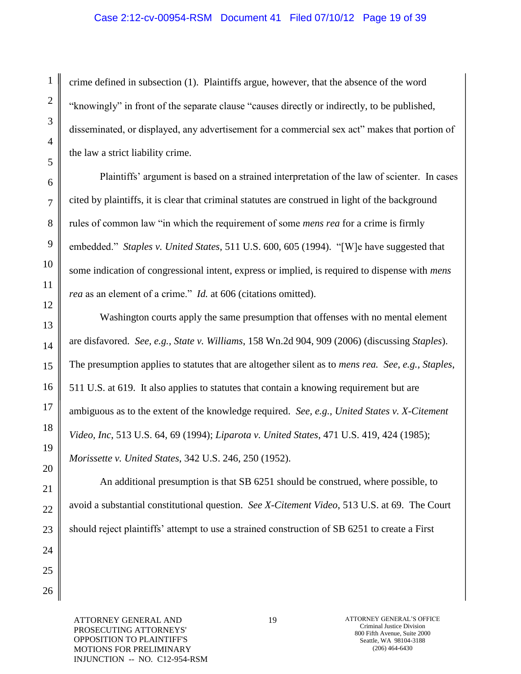crime defined in subsection (1). Plaintiffs argue, however, that the absence of the word "knowingly" in front of the separate clause "causes directly or indirectly, to be published, disseminated, or displayed, any advertisement for a commercial sex act" makes that portion of the law a strict liability crime.

Plaintiffs" argument is based on a strained interpretation of the law of scienter. In cases cited by plaintiffs, it is clear that criminal statutes are construed in light of the background rules of common law "in which the requirement of some *mens rea* for a crime is firmly embedded." *Staples v. United States*, 511 U.S. 600, 605 (1994). "[W]e have suggested that some indication of congressional intent, express or implied, is required to dispense with *mens rea* as an element of a crime." *Id.* at 606 (citations omitted).

Washington courts apply the same presumption that offenses with no mental element are disfavored. *See, e.g., State v. Williams*, 158 Wn.2d 904, 909 (2006) (discussing *Staples*). The presumption applies to statutes that are altogether silent as to *mens rea. See, e.g., Staples*, 511 U.S. at 619. It also applies to statutes that contain a knowing requirement but are ambiguous as to the extent of the knowledge required. *See, e.g., United States v. X-Citement Video, Inc*, 513 U.S. 64, 69 (1994); *Liparota v. United States*, 471 U.S. 419, 424 (1985); *Morissette v. United States*, 342 U.S. 246, 250 (1952).

An additional presumption is that SB 6251 should be construed, where possible, to avoid a substantial constitutional question. *See X-Citement Video*, 513 U.S. at 69. The Court should reject plaintiffs' attempt to use a strained construction of SB 6251 to create a First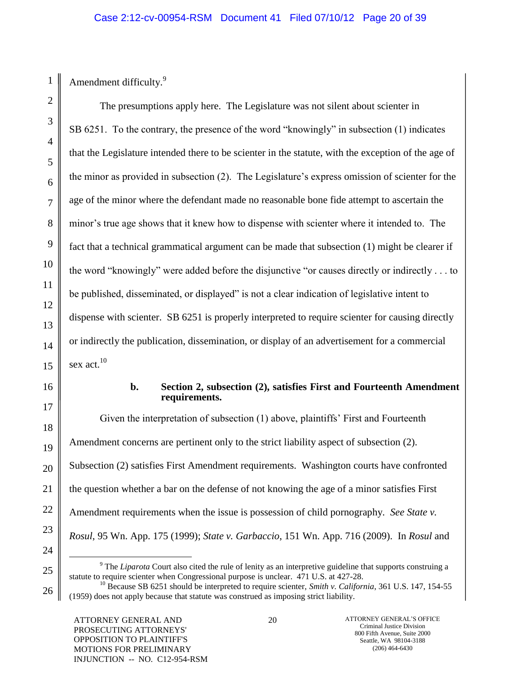Amendment difficulty.<sup>9</sup>

1

2

3

4

5

6

7

8

9

10

11

12

13

14

15

16

17

18

19

20

21

22

23

24

25

26

The presumptions apply here. The Legislature was not silent about scienter in SB 6251. To the contrary, the presence of the word "knowingly" in subsection (1) indicates that the Legislature intended there to be scienter in the statute, with the exception of the age of the minor as provided in subsection (2). The Legislature"s express omission of scienter for the age of the minor where the defendant made no reasonable bone fide attempt to ascertain the minor"s true age shows that it knew how to dispense with scienter where it intended to. The fact that a technical grammatical argument can be made that subsection (1) might be clearer if the word "knowingly" were added before the disjunctive "or causes directly or indirectly . . . to be published, disseminated, or displayed" is not a clear indication of legislative intent to dispense with scienter. SB 6251 is properly interpreted to require scienter for causing directly or indirectly the publication, dissemination, or display of an advertisement for a commercial sex act.<sup>10</sup>

#### **b. Section 2, subsection (2), satisfies First and Fourteenth Amendment requirements.**

Given the interpretation of subsection (1) above, plaintiffs' First and Fourteenth Amendment concerns are pertinent only to the strict liability aspect of subsection (2). Subsection (2) satisfies First Amendment requirements. Washington courts have confronted the question whether a bar on the defense of not knowing the age of a minor satisfies First Amendment requirements when the issue is possession of child pornography. *See State v. Rosul*, 95 Wn. App. 175 (1999); *State v. Garbaccio*, 151 Wn. App. 716 (2009). In *Rosul* and

 $\overline{a}$ <sup>9</sup> The *Liparota* Court also cited the rule of lenity as an interpretive guideline that supports construing a statute to require scienter when Congressional purpose is unclear. 471 U.S. at 427-28.

<sup>&</sup>lt;sup>10</sup> Because SB 6251 should be interpreted to require scienter, *Smith v. California*, 361 U.S. 147, 154-55 (1959) does not apply because that statute was construed as imposing strict liability.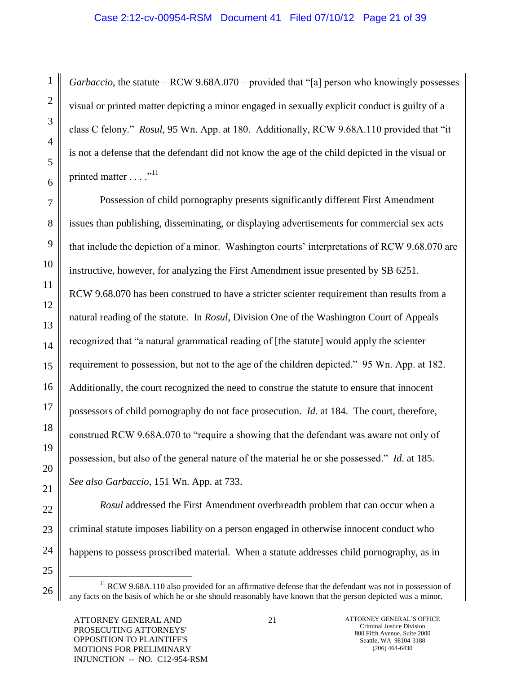### Case 2:12-cv-00954-RSM Document 41 Filed 07/10/12 Page 21 of 39

*Garbaccio*, the statute – RCW 9.68A.070 – provided that "[a] person who knowingly possesses visual or printed matter depicting a minor engaged in sexually explicit conduct is guilty of a class C felony." *Rosul*, 95 Wn. App. at 180. Additionally, RCW 9.68A.110 provided that "it is not a defense that the defendant did not know the age of the child depicted in the visual or printed matter  $\dots$ ."<sup>11</sup>

Possession of child pornography presents significantly different First Amendment issues than publishing, disseminating, or displaying advertisements for commercial sex acts that include the depiction of a minor. Washington courts" interpretations of RCW 9.68.070 are instructive, however, for analyzing the First Amendment issue presented by SB 6251. RCW 9.68.070 has been construed to have a stricter scienter requirement than results from a natural reading of the statute. In *Rosul*, Division One of the Washington Court of Appeals recognized that "a natural grammatical reading of [the statute] would apply the scienter requirement to possession, but not to the age of the children depicted." 95 Wn. App. at 182. Additionally, the court recognized the need to construe the statute to ensure that innocent possessors of child pornography do not face prosecution. *Id*. at 184. The court, therefore, construed RCW 9.68A.070 to "require a showing that the defendant was aware not only of possession, but also of the general nature of the material he or she possessed." *Id*. at 185. *See also Garbaccio*, 151 Wn. App. at 733.

*Rosul* addressed the First Amendment overbreadth problem that can occur when a criminal statute imposes liability on a person engaged in otherwise innocent conduct who happens to possess proscribed material. When a statute addresses child pornography, as in

1

2

3

4

5

6

7

8

9

10

11

12

13

14

15

16

17

18

19

20

21

22

23

24

25

 $\overline{a}$  $11$  RCW 9.68A.110 also provided for an affirmative defense that the defendant was not in possession of any facts on the basis of which he or she should reasonably have known that the person depicted was a minor.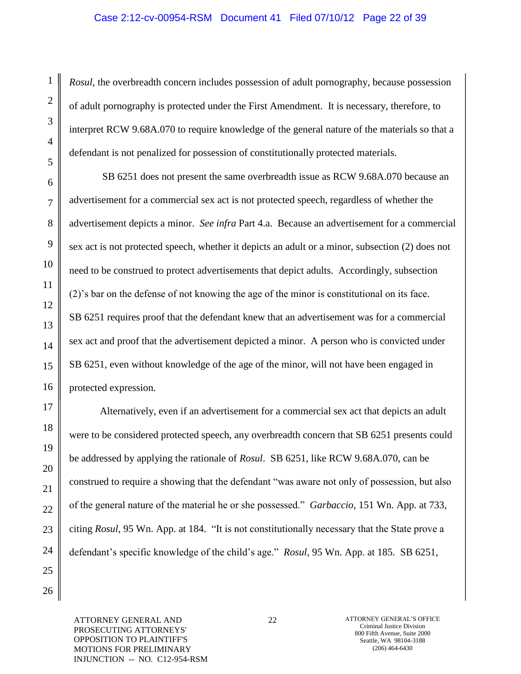### Case 2:12-cv-00954-RSM Document 41 Filed 07/10/12 Page 22 of 39

*Rosul*, the overbreadth concern includes possession of adult pornography, because possession of adult pornography is protected under the First Amendment. It is necessary, therefore, to interpret RCW 9.68A.070 to require knowledge of the general nature of the materials so that a defendant is not penalized for possession of constitutionally protected materials.

SB 6251 does not present the same overbreadth issue as RCW 9.68A.070 because an advertisement for a commercial sex act is not protected speech, regardless of whether the advertisement depicts a minor. *See infra* Part 4.a. Because an advertisement for a commercial sex act is not protected speech, whether it depicts an adult or a minor, subsection (2) does not need to be construed to protect advertisements that depict adults. Accordingly, subsection (2)"s bar on the defense of not knowing the age of the minor is constitutional on its face. SB 6251 requires proof that the defendant knew that an advertisement was for a commercial sex act and proof that the advertisement depicted a minor. A person who is convicted under SB 6251, even without knowledge of the age of the minor, will not have been engaged in protected expression.

Alternatively, even if an advertisement for a commercial sex act that depicts an adult were to be considered protected speech, any overbreadth concern that SB 6251 presents could be addressed by applying the rationale of *Rosul*. SB 6251, like RCW 9.68A.070, can be construed to require a showing that the defendant "was aware not only of possession, but also of the general nature of the material he or she possessed." *Garbaccio*, 151 Wn. App. at 733, citing *Rosul*, 95 Wn. App. at 184. "It is not constitutionally necessary that the State prove a defendant's specific knowledge of the child's age." *Rosul*, 95 Wn. App. at 185. SB 6251,

ATTORNEY GENERAL AND PROSECUTING ATTORNEYS' OPPOSITION TO PLAINTIFF'S MOTIONS FOR PRELIMINARY INJUNCTION -- NO. C12-954-RSM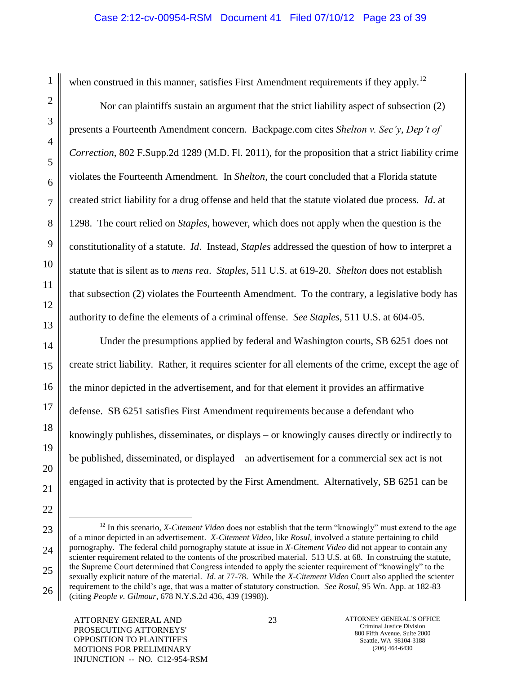$\overline{a}$ 

when construed in this manner, satisfies First Amendment requirements if they apply.<sup>12</sup>

Nor can plaintiffs sustain an argument that the strict liability aspect of subsection (2) presents a Fourteenth Amendment concern. Backpage.com cites *Shelton v. Sec'y, Dep't of Correction*, 802 F.Supp.2d 1289 (M.D. Fl. 2011), for the proposition that a strict liability crime violates the Fourteenth Amendment. In *Shelton*, the court concluded that a Florida statute created strict liability for a drug offense and held that the statute violated due process. *Id*. at 1298. The court relied on *Staples*, however, which does not apply when the question is the constitutionality of a statute. *Id*. Instead, *Staples* addressed the question of how to interpret a statute that is silent as to *mens rea*. *Staples*, 511 U.S. at 619-20. *Shelton* does not establish that subsection (2) violates the Fourteenth Amendment. To the contrary, a legislative body has authority to define the elements of a criminal offense. *See Staples*, 511 U.S. at 604-05.

Under the presumptions applied by federal and Washington courts, SB 6251 does not create strict liability. Rather, it requires scienter for all elements of the crime, except the age of the minor depicted in the advertisement, and for that element it provides an affirmative defense. SB 6251 satisfies First Amendment requirements because a defendant who knowingly publishes, disseminates, or displays – or knowingly causes directly or indirectly to be published, disseminated, or displayed – an advertisement for a commercial sex act is not engaged in activity that is protected by the First Amendment. Alternatively, SB 6251 can be

<sup>&</sup>lt;sup>12</sup> In this scenario, *X-Citement Video* does not establish that the term "knowingly" must extend to the age of a minor depicted in an advertisement. *X-Citement Video*, like *Rosul*, involved a statute pertaining to child pornography. The federal child pornography statute at issue in *X-Citement Video* did not appear to contain any scienter requirement related to the contents of the proscribed material. 513 U.S. at 68. In construing the statute, the Supreme Court determined that Congress intended to apply the scienter requirement of "knowingly" to the sexually explicit nature of the material. *Id*. at 77-78. While the *X-Citement Video* Court also applied the scienter requirement to the child"s age, that was a matter of statutory construction. *See Rosul*, 95 Wn. App. at 182-83 (citing *People v. Gilmour*, 678 N.Y.S.2d 436, 439 (1998)).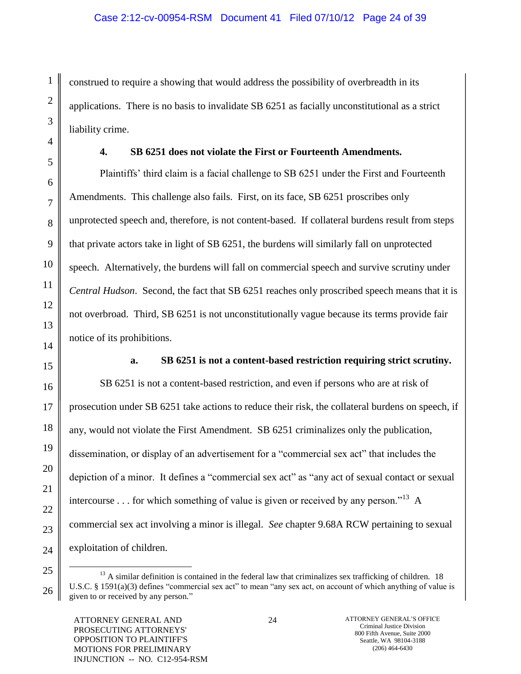construed to require a showing that would address the possibility of overbreadth in its applications. There is no basis to invalidate SB 6251 as facially unconstitutional as a strict liability crime.

# **4. SB 6251 does not violate the First or Fourteenth Amendments.**

Plaintiffs" third claim is a facial challenge to SB 6251 under the First and Fourteenth Amendments. This challenge also fails. First, on its face, SB 6251 proscribes only unprotected speech and, therefore, is not content-based. If collateral burdens result from steps that private actors take in light of SB 6251, the burdens will similarly fall on unprotected speech. Alternatively, the burdens will fall on commercial speech and survive scrutiny under *Central Hudson*. Second, the fact that SB 6251 reaches only proscribed speech means that it is not overbroad. Third, SB 6251 is not unconstitutionally vague because its terms provide fair notice of its prohibitions.

1

2

3

4

5

6

7

8

9

10

11

12

13

14

15

16

17

18

19

20

21

22

23

24

25

 $\overline{a}$ 

26

# **a. SB 6251 is not a content-based restriction requiring strict scrutiny.**

SB 6251 is not a content-based restriction, and even if persons who are at risk of prosecution under SB 6251 take actions to reduce their risk, the collateral burdens on speech, if any, would not violate the First Amendment. SB 6251 criminalizes only the publication, dissemination, or display of an advertisement for a "commercial sex act" that includes the depiction of a minor. It defines a "commercial sex act" as "any act of sexual contact or sexual intercourse . . . for which something of value is given or received by any person."<sup>13</sup> A commercial sex act involving a minor is illegal. *See* chapter 9.68A RCW pertaining to sexual exploitation of children.

 $13$  A similar definition is contained in the federal law that criminalizes sex trafficking of children. 18 U.S.C. § 1591(a)(3) defines "commercial sex act" to mean "any sex act, on account of which anything of value is given to or received by any person."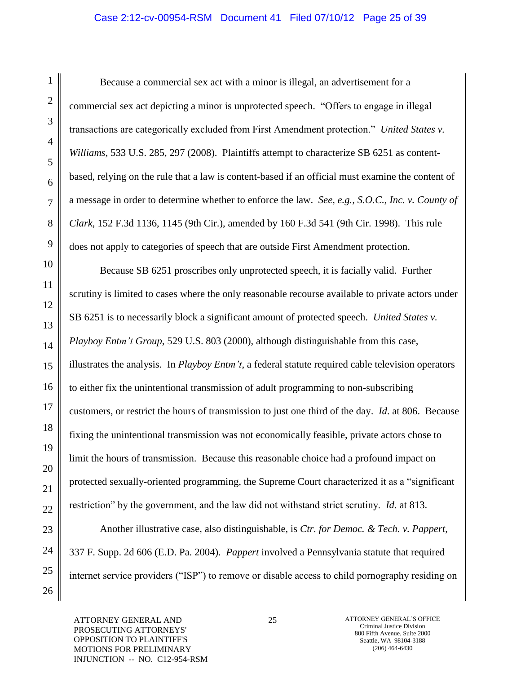# Case 2:12-cv-00954-RSM Document 41 Filed 07/10/12 Page 25 of 39

Because a commercial sex act with a minor is illegal, an advertisement for a commercial sex act depicting a minor is unprotected speech. "Offers to engage in illegal transactions are categorically excluded from First Amendment protection." *United States v. Williams*, 533 U.S. 285, 297 (2008). Plaintiffs attempt to characterize SB 6251 as contentbased, relying on the rule that a law is content-based if an official must examine the content of a message in order to determine whether to enforce the law. *See, e.g., S.O.C., Inc. v. County of Clark*, 152 F.3d 1136, 1145 (9th Cir.), amended by 160 F.3d 541 (9th Cir. 1998). This rule does not apply to categories of speech that are outside First Amendment protection.

Because SB 6251 proscribes only unprotected speech, it is facially valid. Further scrutiny is limited to cases where the only reasonable recourse available to private actors under SB 6251 is to necessarily block a significant amount of protected speech. *United States v. Playboy Entm't Group*, 529 U.S. 803 (2000), although distinguishable from this case, illustrates the analysis. In *Playboy Entm't*, a federal statute required cable television operators to either fix the unintentional transmission of adult programming to non-subscribing customers, or restrict the hours of transmission to just one third of the day. *Id*. at 806. Because fixing the unintentional transmission was not economically feasible, private actors chose to limit the hours of transmission. Because this reasonable choice had a profound impact on protected sexually-oriented programming, the Supreme Court characterized it as a "significant restriction" by the government, and the law did not withstand strict scrutiny. *Id*. at 813.

Another illustrative case, also distinguishable, is *Ctr. for Democ. & Tech. v. Pappert*, 337 F. Supp. 2d 606 (E.D. Pa. 2004). *Pappert* involved a Pennsylvania statute that required internet service providers ("ISP") to remove or disable access to child pornography residing on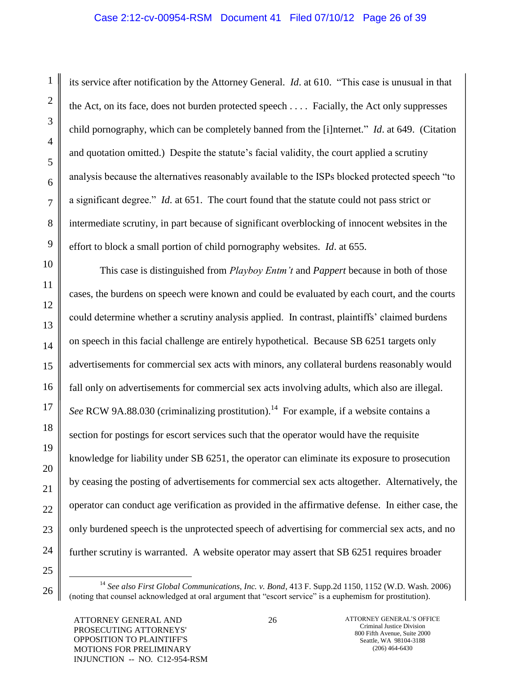# Case 2:12-cv-00954-RSM Document 41 Filed 07/10/12 Page 26 of 39

its service after notification by the Attorney General. *Id*. at 610. "This case is unusual in that the Act, on its face, does not burden protected speech . . . . Facially, the Act only suppresses child pornography, which can be completely banned from the [i]nternet." *Id*. at 649. (Citation and quotation omitted.) Despite the statute's facial validity, the court applied a scrutiny analysis because the alternatives reasonably available to the ISPs blocked protected speech "to a significant degree." *Id*. at 651. The court found that the statute could not pass strict or intermediate scrutiny, in part because of significant overblocking of innocent websites in the effort to block a small portion of child pornography websites. *Id*. at 655.

This case is distinguished from *Playboy Entm't* and *Pappert* because in both of those cases, the burdens on speech were known and could be evaluated by each court, and the courts could determine whether a scrutiny analysis applied. In contrast, plaintiffs" claimed burdens on speech in this facial challenge are entirely hypothetical. Because SB 6251 targets only advertisements for commercial sex acts with minors, any collateral burdens reasonably would fall only on advertisements for commercial sex acts involving adults, which also are illegal. See RCW 9A.88.030 (criminalizing prostitution).<sup>14</sup> For example, if a website contains a section for postings for escort services such that the operator would have the requisite knowledge for liability under SB 6251, the operator can eliminate its exposure to prosecution by ceasing the posting of advertisements for commercial sex acts altogether. Alternatively, the operator can conduct age verification as provided in the affirmative defense. In either case, the only burdened speech is the unprotected speech of advertising for commercial sex acts, and no further scrutiny is warranted. A website operator may assert that SB 6251 requires broader

 $\overline{a}$ 

1

2

3

4

5

6

7

8

9

<sup>11</sup> 12 13 14 15 16 17 18 19 20 21 22 23 24 25 26

<sup>14</sup> *See also First Global Communications, Inc. v. Bond*, 413 F. Supp.2d 1150, 1152 (W.D. Wash. 2006) (noting that counsel acknowledged at oral argument that "escort service" is a euphemism for prostitution).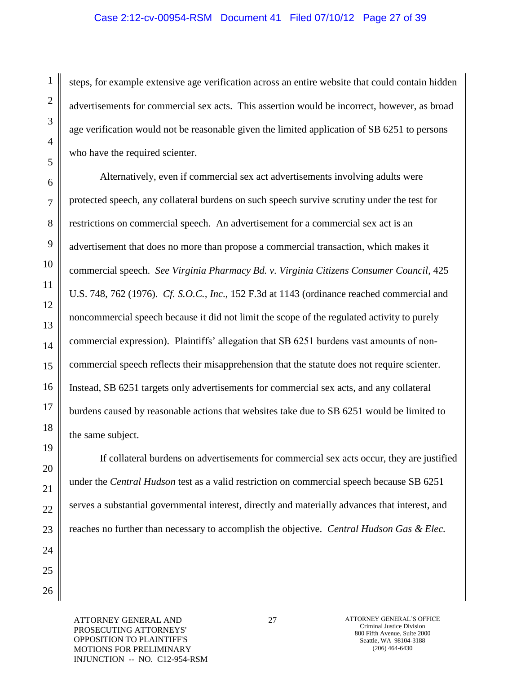steps, for example extensive age verification across an entire website that could contain hidden advertisements for commercial sex acts. This assertion would be incorrect, however, as broad age verification would not be reasonable given the limited application of SB 6251 to persons who have the required scienter.

Alternatively, even if commercial sex act advertisements involving adults were protected speech, any collateral burdens on such speech survive scrutiny under the test for restrictions on commercial speech. An advertisement for a commercial sex act is an advertisement that does no more than propose a commercial transaction, which makes it commercial speech. *See Virginia Pharmacy Bd. v. Virginia Citizens Consumer Council*, 425 U.S. 748, 762 (1976). *Cf. S.O.C., Inc*., 152 F.3d at 1143 (ordinance reached commercial and noncommercial speech because it did not limit the scope of the regulated activity to purely commercial expression). Plaintiffs" allegation that SB 6251 burdens vast amounts of noncommercial speech reflects their misapprehension that the statute does not require scienter. Instead, SB 6251 targets only advertisements for commercial sex acts, and any collateral burdens caused by reasonable actions that websites take due to SB 6251 would be limited to the same subject.

If collateral burdens on advertisements for commercial sex acts occur, they are justified under the *Central Hudson* test as a valid restriction on commercial speech because SB 6251 serves a substantial governmental interest, directly and materially advances that interest, and reaches no further than necessary to accomplish the objective. *Central Hudson Gas & Elec.* 

1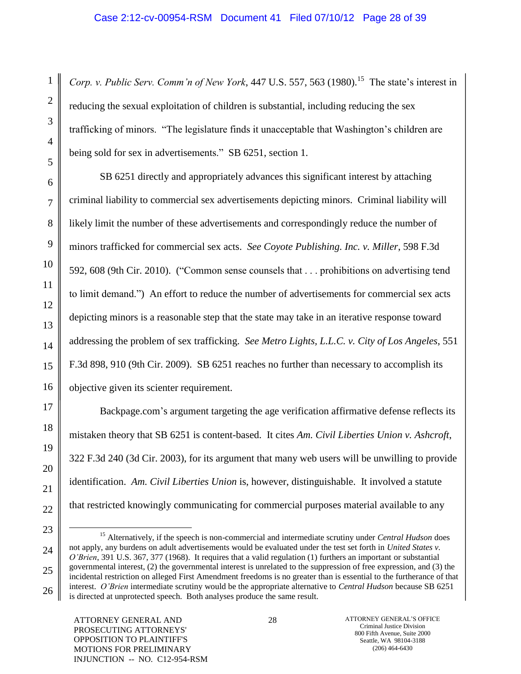Corp. v. Public Serv. Comm'n of New York, 447 U.S. 557, 563 (1980).<sup>15</sup> The state's interest in reducing the sexual exploitation of children is substantial, including reducing the sex trafficking of minors. "The legislature finds it unacceptable that Washington"s children are being sold for sex in advertisements." SB 6251, section 1.

SB 6251 directly and appropriately advances this significant interest by attaching criminal liability to commercial sex advertisements depicting minors. Criminal liability will likely limit the number of these advertisements and correspondingly reduce the number of minors trafficked for commercial sex acts. *See Coyote Publishing. Inc. v. Miller*, 598 F.3d 592, 608 (9th Cir. 2010). ("Common sense counsels that . . . prohibitions on advertising tend to limit demand.") An effort to reduce the number of advertisements for commercial sex acts depicting minors is a reasonable step that the state may take in an iterative response toward addressing the problem of sex trafficking. *See Metro Lights, L.L.C. v. City of Los Angeles*, 551 F.3d 898, 910 (9th Cir. 2009). SB 6251 reaches no further than necessary to accomplish its objective given its scienter requirement.

Backpage.com"s argument targeting the age verification affirmative defense reflects its mistaken theory that SB 6251 is content-based. It cites *Am. Civil Liberties Union v. Ashcroft*, 322 F.3d 240 (3d Cir. 2003), for its argument that many web users will be unwilling to provide identification. *Am. Civil Liberties Union* is, however, distinguishable. It involved a statute that restricted knowingly communicating for commercial purposes material available to any

 $\overline{a}$ 

<sup>15</sup> Alternatively, if the speech is non-commercial and intermediate scrutiny under *Central Hudson* does not apply, any burdens on adult advertisements would be evaluated under the test set forth in *United States v. O'Brien*, 391 U.S. 367, 377 (1968). It requires that a valid regulation (1) furthers an important or substantial governmental interest, (2) the governmental interest is unrelated to the suppression of free expression, and (3) the incidental restriction on alleged First Amendment freedoms is no greater than is essential to the furtherance of that interest. *O'Brien* intermediate scrutiny would be the appropriate alternative to *Central Hudson* because SB 6251 is directed at unprotected speech. Both analyses produce the same result.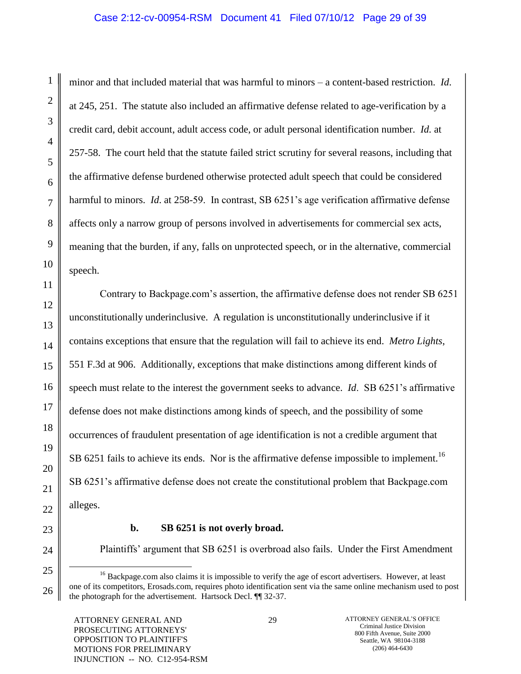minor and that included material that was harmful to minors – a content-based restriction. *Id*. at 245, 251. The statute also included an affirmative defense related to age-verification by a credit card, debit account, adult access code, or adult personal identification number. *Id.* at 257-58. The court held that the statute failed strict scrutiny for several reasons, including that the affirmative defense burdened otherwise protected adult speech that could be considered harmful to minors. *Id*. at 258-59. In contrast, SB 6251"s age verification affirmative defense affects only a narrow group of persons involved in advertisements for commercial sex acts, meaning that the burden, if any, falls on unprotected speech, or in the alternative, commercial speech.

Contrary to Backpage.com"s assertion, the affirmative defense does not render SB 6251 unconstitutionally underinclusive. A regulation is unconstitutionally underinclusive if it contains exceptions that ensure that the regulation will fail to achieve its end. *Metro Lights*, 551 F.3d at 906. Additionally, exceptions that make distinctions among different kinds of speech must relate to the interest the government seeks to advance. *Id*. SB 6251's affirmative defense does not make distinctions among kinds of speech, and the possibility of some occurrences of fraudulent presentation of age identification is not a credible argument that SB 6251 fails to achieve its ends. Nor is the affirmative defense impossible to implement.<sup>16</sup> SB 6251"s affirmative defense does not create the constitutional problem that Backpage.com alleges.

1

2

3

4

5

6

7

8

9

10

11

12

13

14

15

16

17

18

19

20

21

22

23

24

25

 $\overline{a}$ 

26

#### **b. SB 6251 is not overly broad.**

Plaintiffs" argument that SB 6251 is overbroad also fails. Under the First Amendment

<sup>&</sup>lt;sup>16</sup> Backpage.com also claims it is impossible to verify the age of escort advertisers. However, at least one of its competitors, Erosads.com, requires photo identification sent via the same online mechanism used to post the photograph for the advertisement. Hartsock Decl. ¶¶ 32-37.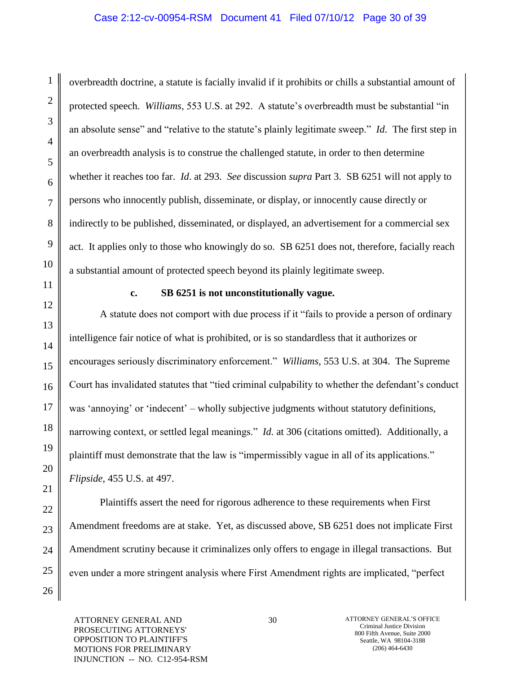### Case 2:12-cv-00954-RSM Document 41 Filed 07/10/12 Page 30 of 39

overbreadth doctrine, a statute is facially invalid if it prohibits or chills a substantial amount of protected speech. *Williams*, 553 U.S. at 292. A statute"s overbreadth must be substantial "in an absolute sense" and "relative to the statute"s plainly legitimate sweep." *Id*. The first step in an overbreadth analysis is to construe the challenged statute, in order to then determine whether it reaches too far. *Id*. at 293. *See* discussion *supra* Part 3. SB 6251 will not apply to persons who innocently publish, disseminate, or display, or innocently cause directly or indirectly to be published, disseminated, or displayed, an advertisement for a commercial sex act. It applies only to those who knowingly do so. SB 6251 does not, therefore, facially reach a substantial amount of protected speech beyond its plainly legitimate sweep.

1

2

3

4

5

6

7

8

9

10

11

12

13

14

15

16

17

18

19

20

21

22

23

24

25

26

#### **c. SB 6251 is not unconstitutionally vague.**

A statute does not comport with due process if it "fails to provide a person of ordinary intelligence fair notice of what is prohibited, or is so standardless that it authorizes or encourages seriously discriminatory enforcement." *Williams*, 553 U.S. at 304. The Supreme Court has invalidated statutes that "tied criminal culpability to whether the defendant"s conduct was 'annoying' or 'indecent' – wholly subjective judgments without statutory definitions, narrowing context, or settled legal meanings." *Id.* at 306 (citations omitted). Additionally, a plaintiff must demonstrate that the law is "impermissibly vague in all of its applications." *Flipside*, 455 U.S. at 497.

Plaintiffs assert the need for rigorous adherence to these requirements when First Amendment freedoms are at stake. Yet, as discussed above, SB 6251 does not implicate First Amendment scrutiny because it criminalizes only offers to engage in illegal transactions. But even under a more stringent analysis where First Amendment rights are implicated, "perfect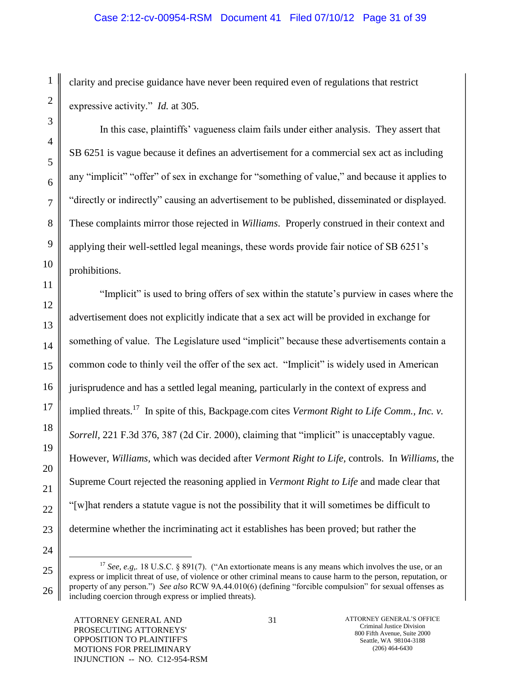# Case 2:12-cv-00954-RSM Document 41 Filed 07/10/12 Page 31 of 39

clarity and precise guidance have never been required even of regulations that restrict expressive activity." *Id.* at 305.

In this case, plaintiffs" vagueness claim fails under either analysis. They assert that SB 6251 is vague because it defines an advertisement for a commercial sex act as including any "implicit" "offer" of sex in exchange for "something of value," and because it applies to "directly or indirectly" causing an advertisement to be published, disseminated or displayed. These complaints mirror those rejected in *Williams*. Properly construed in their context and applying their well-settled legal meanings, these words provide fair notice of SB 6251"s prohibitions.

"Implicit" is used to bring offers of sex within the statute"s purview in cases where the advertisement does not explicitly indicate that a sex act will be provided in exchange for something of value. The Legislature used "implicit" because these advertisements contain a common code to thinly veil the offer of the sex act. "Implicit" is widely used in American jurisprudence and has a settled legal meaning, particularly in the context of express and implied threats.<sup>17</sup> In spite of this, Backpage.com cites *Vermont Right to Life Comm., Inc. v. Sorrell,* 221 F.3d 376, 387 (2d Cir. 2000), claiming that "implicit" is unacceptably vague. However, *Williams,* which was decided after *Vermont Right to Life,* controls. In *Williams*, the Supreme Court rejected the reasoning applied in *Vermont Right to Life* and made clear that "[w]hat renders a statute vague is not the possibility that it will sometimes be difficult to determine whether the incriminating act it establishes has been proved; but rather the

 $\overline{a}$ 

<sup>&</sup>lt;sup>17</sup> *See, e.g.*, 18 U.S.C. § 891(7). ("An extortionate means is any means which involves the use, or an express or implicit threat of use, of violence or other criminal means to cause harm to the person, reputation, or property of any person.") *See also* RCW 9A.44.010(6) (defining "forcible compulsion" for sexual offenses as including coercion through express or implied threats).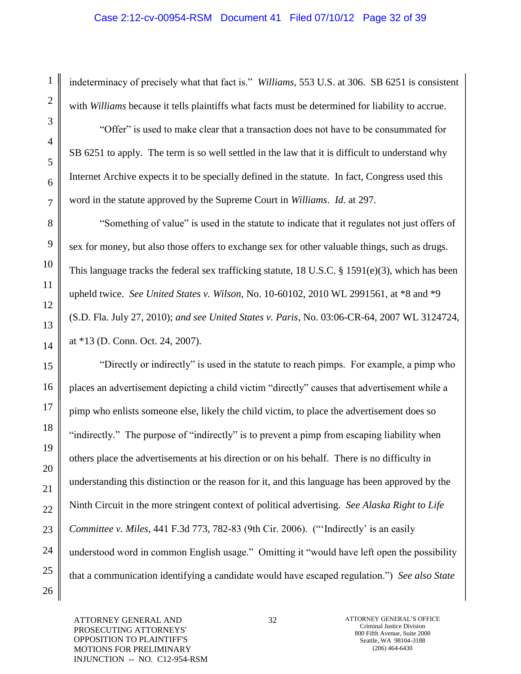indeterminacy of precisely what that fact is." *Williams*, 553 U.S. at 306. SB 6251 is consistent with *Williams* because it tells plaintiffs what facts must be determined for liability to accrue.

"Offer" is used to make clear that a transaction does not have to be consummated for SB 6251 to apply. The term is so well settled in the law that it is difficult to understand why Internet Archive expects it to be specially defined in the statute. In fact, Congress used this word in the statute approved by the Supreme Court in *Williams*. *Id*. at 297.

"Something of value" is used in the statute to indicate that it regulates not just offers of sex for money, but also those offers to exchange sex for other valuable things, such as drugs. This language tracks the federal sex trafficking statute, 18 U.S.C. § 1591(e)(3), which has been upheld twice. *See United States v. Wilson,* No. 10-60102, 2010 WL 2991561, at \*8 and \*9 (S.D. Fla. July 27, 2010); *and see United States v. Paris*, No. 03:06-CR-64, 2007 WL 3124724, at \*13 (D. Conn. Oct. 24, 2007).

"Directly or indirectly" is used in the statute to reach pimps. For example, a pimp who places an advertisement depicting a child victim "directly" causes that advertisement while a pimp who enlists someone else, likely the child victim, to place the advertisement does so "indirectly." The purpose of "indirectly" is to prevent a pimp from escaping liability when others place the advertisements at his direction or on his behalf. There is no difficulty in understanding this distinction or the reason for it, and this language has been approved by the Ninth Circuit in the more stringent context of political advertising. *See Alaska Right to Life Committee v. Miles*, 441 F.3d 773, 782-83 (9th Cir. 2006). (""Indirectly" is an easily understood word in common English usage." Omitting it "would have left open the possibility that a communication identifying a candidate would have escaped regulation.") *See also State* 

ATTORNEY GENERAL AND PROSECUTING ATTORNEYS' OPPOSITION TO PLAINTIFF'S MOTIONS FOR PRELIMINARY INJUNCTION -- NO. C12-954-RSM

1

2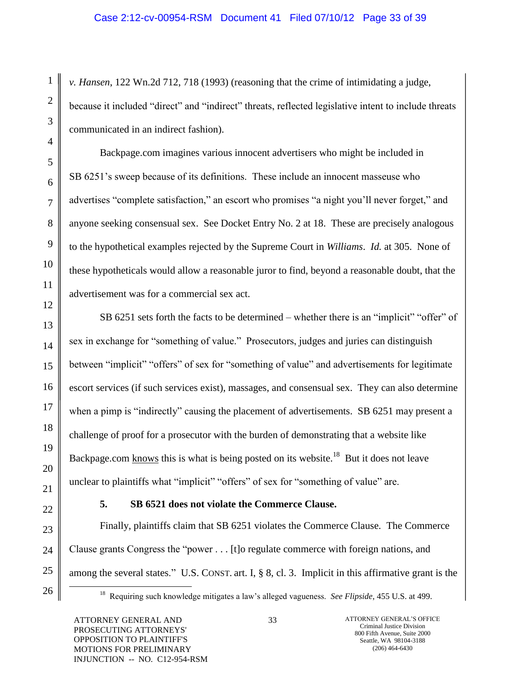*v. Hansen*, 122 Wn.2d 712, 718 (1993) (reasoning that the crime of intimidating a judge, because it included "direct" and "indirect" threats, reflected legislative intent to include threats communicated in an indirect fashion).

Backpage.com imagines various innocent advertisers who might be included in SB 6251"s sweep because of its definitions. These include an innocent masseuse who advertises "complete satisfaction," an escort who promises "a night you"ll never forget," and anyone seeking consensual sex. See Docket Entry No. 2 at 18. These are precisely analogous to the hypothetical examples rejected by the Supreme Court in *Williams*. *Id.* at 305. None of these hypotheticals would allow a reasonable juror to find, beyond a reasonable doubt, that the advertisement was for a commercial sex act.

SB 6251 sets forth the facts to be determined – whether there is an "implicit" "offer" of sex in exchange for "something of value." Prosecutors, judges and juries can distinguish between "implicit" "offers" of sex for "something of value" and advertisements for legitimate escort services (if such services exist), massages, and consensual sex. They can also determine when a pimp is "indirectly" causing the placement of advertisements. SB 6251 may present a challenge of proof for a prosecutor with the burden of demonstrating that a website like Backpage.com knows this is what is being posted on its website.<sup>18</sup> But it does not leave unclear to plaintiffs what "implicit" "offers" of sex for "something of value" are.

 $\overline{a}$ 

# **5. SB 6521 does not violate the Commerce Clause.**

Finally, plaintiffs claim that SB 6251 violates the Commerce Clause. The Commerce Clause grants Congress the "power . . . [t]o regulate commerce with foreign nations, and among the several states." U.S. CONST. art. I, § 8, cl. 3. Implicit in this affirmative grant is the

<sup>&</sup>lt;sup>18</sup> Requiring such knowledge mitigates a law's alleged vagueness. *See Flipside*, 455 U.S. at 499.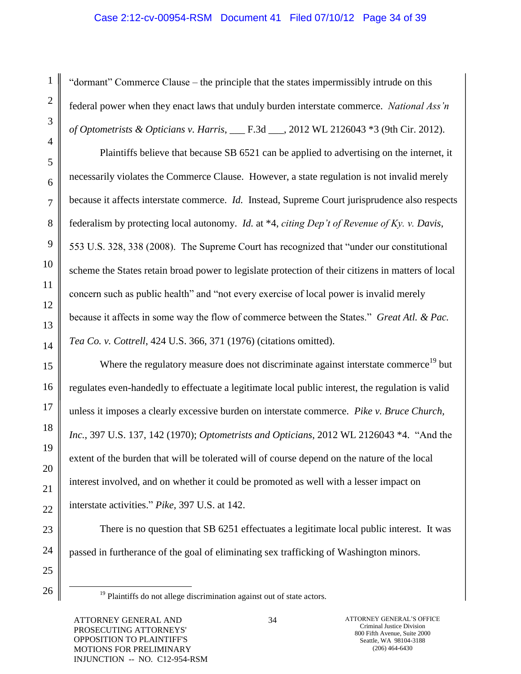# Case 2:12-cv-00954-RSM Document 41 Filed 07/10/12 Page 34 of 39

"dormant" Commerce Clause – the principle that the states impermissibly intrude on this federal power when they enact laws that unduly burden interstate commerce. *National Ass'n of Optometrists & Opticians v. Harris*, \_\_\_ F.3d \_\_\_, 2012 WL 2126043 \*3 (9th Cir. 2012).

Plaintiffs believe that because SB 6521 can be applied to advertising on the internet, it necessarily violates the Commerce Clause. However, a state regulation is not invalid merely because it affects interstate commerce. *Id.* Instead, Supreme Court jurisprudence also respects federalism by protecting local autonomy. *Id.* at \*4, *citing Dep't of Revenue of Ky. v. Davis*, 553 U.S. 328, 338 (2008). The Supreme Court has recognized that "under our constitutional scheme the States retain broad power to legislate protection of their citizens in matters of local concern such as public health" and "not every exercise of local power is invalid merely because it affects in some way the flow of commerce between the States." *Great Atl. & Pac. Tea Co. v. Cottrell*, 424 U.S. 366, 371 (1976) (citations omitted).

Where the regulatory measure does not discriminate against interstate commerce<sup>19</sup> but regulates even-handedly to effectuate a legitimate local public interest, the regulation is valid unless it imposes a clearly excessive burden on interstate commerce. *Pike v. Bruce Church, Inc.*, 397 U.S. 137, 142 (1970); *Optometrists and Opticians*, 2012 WL 2126043 \*4. "And the extent of the burden that will be tolerated will of course depend on the nature of the local interest involved, and on whether it could be promoted as well with a lesser impact on interstate activities." *Pike,* [397 U.S. at 142.](https://web2.westlaw.com/find/default.wl?mt=StateGovernment&db=708&rs=WLW12.04&tc=-1&rp=%2ffind%2fdefault.wl&findtype=Y&ordoc=2001486688&serialnum=1970134191&vr=2.0&fn=_top&sv=Split&tf=-1&pbc=AD20E608&utid=1)

There is no question that SB 6251 effectuates a legitimate local public interest. It was passed in furtherance of the goal of eliminating sex trafficking of Washington minors.

 $19$  Plaintiffs do not allege discrimination against out of state actors.

1

2

3

4

5

6

7

8

9

10

11

12

13

14

15

16

17

18

19

20

21

22

23

24

25

26

 $\overline{a}$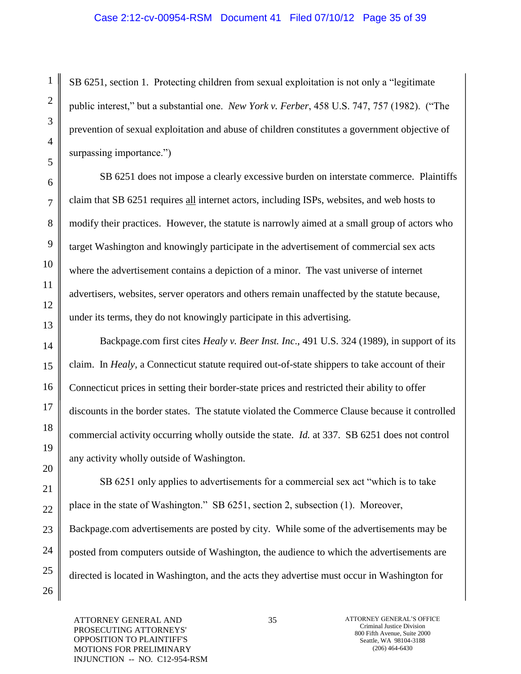### Case 2:12-cv-00954-RSM Document 41 Filed 07/10/12 Page 35 of 39

SB 6251, section 1. Protecting children from sexual exploitation is not only a "legitimate public interest," but a substantial one. *New York v. Ferber*, 458 U.S. 747, 757 (1982). ("The prevention of sexual exploitation and abuse of children constitutes a government objective of surpassing importance.")

SB 6251 does not impose a clearly excessive burden on interstate commerce. Plaintiffs claim that SB 6251 requires all internet actors, including ISPs, websites, and web hosts to modify their practices. However, the statute is narrowly aimed at a small group of actors who target Washington and knowingly participate in the advertisement of commercial sex acts where the advertisement contains a depiction of a minor. The vast universe of internet advertisers, websites, server operators and others remain unaffected by the statute because, under its terms, they do not knowingly participate in this advertising.

Backpage.com first cites *Healy v. Beer Inst. Inc*., 491 U.S. 324 (1989), in support of its claim. In *Healy*, a Connecticut statute required out-of-state shippers to take account of their Connecticut prices in setting their border-state prices and restricted their ability to offer discounts in the border states. The statute violated the Commerce Clause because it controlled commercial activity occurring wholly outside the state. *Id.* at 337. SB 6251 does not control any activity wholly outside of Washington.

SB 6251 only applies to advertisements for a commercial sex act "which is to take place in the state of Washington." SB 6251, section 2, subsection (1). Moreover, Backpage.com advertisements are posted by city. While some of the advertisements may be posted from computers outside of Washington, the audience to which the advertisements are directed is located in Washington, and the acts they advertise must occur in Washington for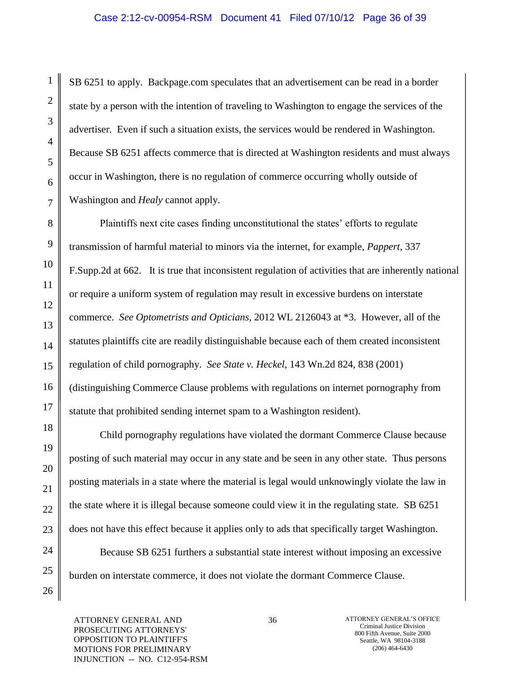SB 6251 to apply. Backpage.com speculates that an advertisement can be read in a border state by a person with the intention of traveling to Washington to engage the services of the advertiser. Even if such a situation exists, the services would be rendered in Washington. Because SB 6251 affects commerce that is directed at Washington residents and must always occur in Washington, there is no regulation of commerce occurring wholly outside of Washington and *Healy* cannot apply.

Plaintiffs next cite cases finding unconstitutional the states' efforts to regulate transmission of harmful material to minors via the internet, for example, *Pappert*, 337 F.Supp.2d at 662. It is true that inconsistent regulation of activities that are inherently national or require a uniform system of regulation may result in excessive burdens on interstate commerce. *See Optometrists and Opticians*, 2012 WL 2126043 at \*3. However, all of the statutes plaintiffs cite are readily distinguishable because each of them created inconsistent regulation of child pornography. *See State v. Heckel*, 143 Wn.2d 824, 838 (2001) (distinguishing Commerce Clause problems with regulations on internet pornography from statute that prohibited sending internet spam to a Washington resident).

Child pornography regulations have violated the dormant Commerce Clause because posting of such material may occur in any state and be seen in any other state. Thus persons posting materials in a state where the material is legal would unknowingly violate the law in the state where it is illegal because someone could view it in the regulating state. SB 6251 does not have this effect because it applies only to ads that specifically target Washington.

Because SB 6251 furthers a substantial state interest without imposing an excessive burden on interstate commerce, it does not violate the dormant Commerce Clause.

ATTORNEY GENERAL AND PROSECUTING ATTORNEYS' OPPOSITION TO PLAINTIFF'S MOTIONS FOR PRELIMINARY INJUNCTION -- NO. C12-954-RSM

1

2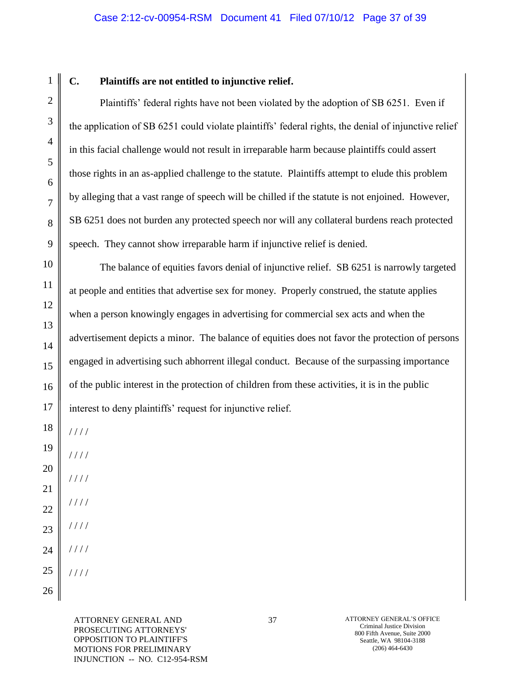# **C. Plaintiffs are not entitled to injunctive relief.**

Plaintiffs" federal rights have not been violated by the adoption of SB 6251. Even if the application of SB 6251 could violate plaintiffs" federal rights, the denial of injunctive relief in this facial challenge would not result in irreparable harm because plaintiffs could assert those rights in an as-applied challenge to the statute. Plaintiffs attempt to elude this problem by alleging that a vast range of speech will be chilled if the statute is not enjoined. However, SB 6251 does not burden any protected speech nor will any collateral burdens reach protected speech. They cannot show irreparable harm if injunctive relief is denied.

The balance of equities favors denial of injunctive relief. SB 6251 is narrowly targeted at people and entities that advertise sex for money. Properly construed, the statute applies when a person knowingly engages in advertising for commercial sex acts and when the advertisement depicts a minor. The balance of equities does not favor the protection of persons engaged in advertising such abhorrent illegal conduct. Because of the surpassing importance of the public interest in the protection of children from these activities, it is in the public interest to deny plaintiffs' request for injunctive relief.

/ / / /

- / / / /
- / / / / / / / /
- / / / /
- / / / /

/ / / /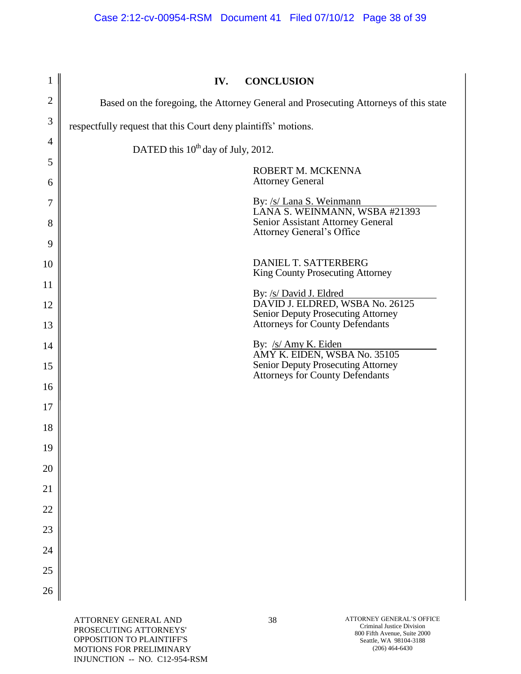| $\mathbf{1}$   | <b>CONCLUSION</b><br>IV.                                                                     |
|----------------|----------------------------------------------------------------------------------------------|
| $\overline{2}$ | Based on the foregoing, the Attorney General and Prosecuting Attorneys of this state         |
| 3              | respectfully request that this Court deny plaintiffs' motions.                               |
| 4              | DATED this 10 <sup>th</sup> day of July, 2012.                                               |
| 5              | ROBERT M. MCKENNA                                                                            |
| 6              | <b>Attorney General</b>                                                                      |
| 7              | By: /s/ Lana S. Weinmann<br>LANA S. WEINMANN, WSBA #21393                                    |
| 8              | Senior Assistant Attorney General<br>Attorney General's Office                               |
| 9              |                                                                                              |
| 10             | DANIEL T. SATTERBERG<br>King County Prosecuting Attorney                                     |
| 11             | By: /s/ David J. Eldred<br>DAVID J. ELDRED, WSBA No. 26125                                   |
| 12<br>13       | Senior Deputy Prosecuting Attorney<br><b>Attorneys for County Defendants</b>                 |
| 14             |                                                                                              |
| 15             | By: $/s/$ Amy K. Eiden<br>AMY K. EIDEN, WSBA No. 35105<br>Senior Deputy Prosecuting Attorney |
| 16             | <b>Attorneys for County Defendants</b>                                                       |
| 17             |                                                                                              |
| 18             |                                                                                              |
| 19             |                                                                                              |
| 20             |                                                                                              |
| 21             |                                                                                              |
| 22             |                                                                                              |
| 23             |                                                                                              |
| 24             |                                                                                              |
| 25             |                                                                                              |
| 26             |                                                                                              |